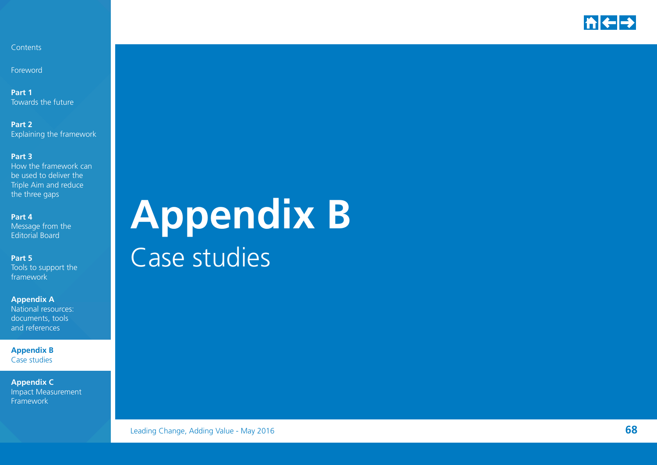

Foreword

**Part 1** Towards the future

**Part 2**  Explaining the framework

#### **Part 3**

How the framework can be used to deliver the Triple Aim and reduce the three gaps

#### **Part 4**

Message from the Editorial Board

**Part 5** 

Tools to support the framework

#### **Appendix A**

National resources: documents, tools and references

**Appendix B**  Case studies

**Appendix C**  Impact Measurement Framework

# **Appendix B** Case studies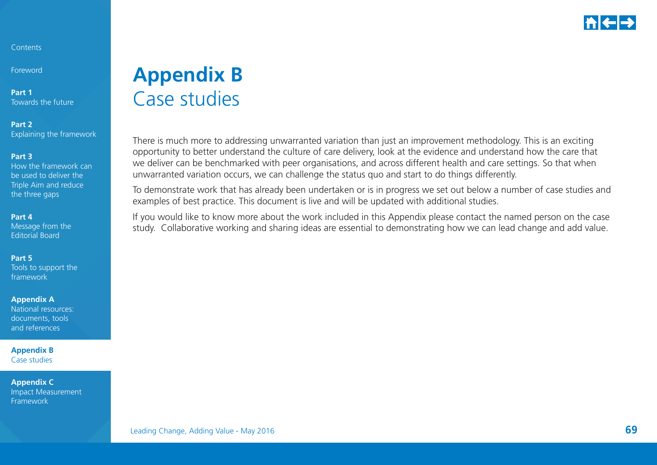

Foreword

**Part 1** Towards the future

**Part 2** Explaining the framework

#### **Part 3**

How the framework can be used to deliver the Triple Aim and reduce the three gaps

#### **Part 4**

Message from the Editorial Board

#### **Part 5**

Tools to support the framework

#### **Appendix A**

National resources: documents, tools and references

**Appendix B**  Case studies

**Appendix C**  Impact Measurement Framework

## **Appendix B** Case studies

There is much more to addressing unwarranted variation than just an improvement methodology. This is an exciting opportunity to better understand the culture of care delivery, look at the evidence and understand how the care that we deliver can be benchmarked with peer organisations, and across different health and care settings. So that when unwarranted variation occurs, we can challenge the status quo and start to do things differently.

To demonstrate work that has already been undertaken or is in progress we set out below a number of case studies and examples of best practice. This document is live and will be updated with additional studies.

If you would like to know more about the work included in this Appendix please contact the named person on the case study. Collaborative working and sharing ideas are essential to demonstrating how we can lead change and add value.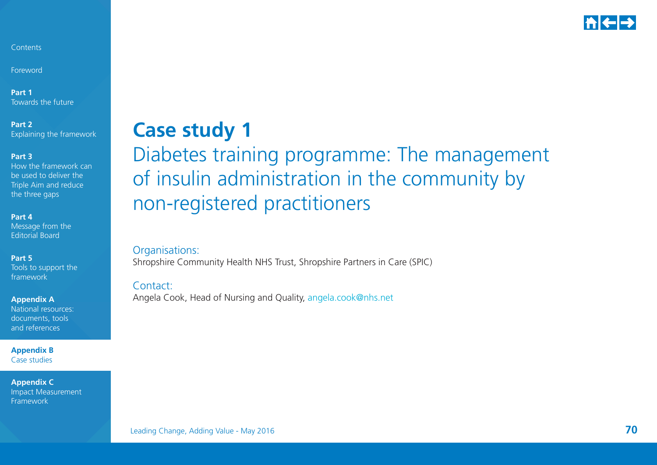

Foreword

**Part 1** Towards the future

**Part 2**  Explaining the framework

#### **Part 3**

How the framework can be used to deliver the Triple Aim and reduce the three gaps

#### **Part 4**

Message from the Editorial Board

#### **Part 5**

Tools to support the framework

**Appendix A** 

National resources: documents, tools and references

**Appendix B**  Case studies

**Appendix C**  Impact Measurement Framework

## **Case study 1**

## Diabetes training programme: The management of insulin administration in the community by non-registered practitioners

Organisations: Shropshire Community Health NHS Trust, Shropshire Partners in Care (SPIC)

#### Contact:

Angela Cook, Head of Nursing and Quality, [angela.cook@nhs.net](mailto:angela.cook%40nhs.net?subject=)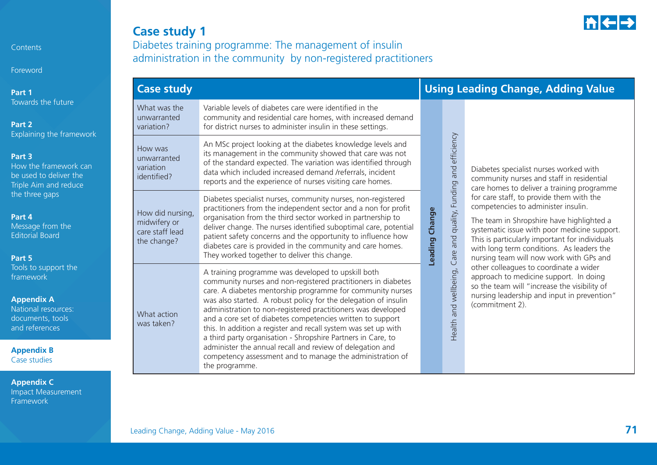Foreword

**Part 1** Towards the future

**Part 2**  Explaining the fram

#### **Part 3**

How the framework be used to deliver the Triple Aim and redu the three gaps

#### **Part 4**

Message from the Editorial Board

#### **Part 5**

Tools to support the framework

#### **Appendix A**

National resources: documents, tools and references

**Appendix B**  Case studies

**Appendix C**  Impact Measurement Framework

## **Case study 1**

Diabetes training programme: The management of insulin administration in the community by non-registered practitioners

|                     | <b>Case study</b>                                                  |                                                                                                                                                                                                                                                                                                                                                                                                                                                                                                                                                                                                                                                                  |                                 | <b>Using Leading Change, Adding Value</b>                                                                                         |                                                                                                                                                                                                                                                                                                                        |  |  |
|---------------------|--------------------------------------------------------------------|------------------------------------------------------------------------------------------------------------------------------------------------------------------------------------------------------------------------------------------------------------------------------------------------------------------------------------------------------------------------------------------------------------------------------------------------------------------------------------------------------------------------------------------------------------------------------------------------------------------------------------------------------------------|---------------------------------|-----------------------------------------------------------------------------------------------------------------------------------|------------------------------------------------------------------------------------------------------------------------------------------------------------------------------------------------------------------------------------------------------------------------------------------------------------------------|--|--|
| ework               | What was the<br>unwarranted<br>variation?                          | Variable levels of diabetes care were identified in the<br>community and residential care homes, with increased demand<br>for district nurses to administer insulin in these settings.                                                                                                                                                                                                                                                                                                                                                                                                                                                                           |                                 |                                                                                                                                   |                                                                                                                                                                                                                                                                                                                        |  |  |
| k canl<br>he<br>ice | How was<br>unwarranted<br>variation<br>identified?                 | An MSc project looking at the diabetes knowledge levels and<br>its management in the community showed that care was not<br>of the standard expected. The variation was identified through<br>data which included increased demand /referrals, incident<br>reports and the experience of nurses visiting care homes.                                                                                                                                                                                                                                                                                                                                              | quality, Funding and efficiency | Diabetes specialist nurses worked with<br>community nurses and staff in residential<br>care homes to deliver a training programme |                                                                                                                                                                                                                                                                                                                        |  |  |
|                     | How did nursing,<br>midwifery or<br>care staff lead<br>the change? | Diabetes specialist nurses, community nurses, non-registered<br>practitioners from the independent sector and a non for profit<br>organisation from the third sector worked in partnership to<br>deliver change. The nurses identified suboptimal care, potential<br>patient safety concerns and the opportunity to influence how<br>diabetes care is provided in the community and care homes.<br>They worked together to deliver this change.                                                                                                                                                                                                                  | Leading Change                  | and<br>Care                                                                                                                       | for care staff, to provide them with the<br>competencies to administer insulin.<br>The team in Shropshire have highlighted a<br>systematic issue with poor medicine support.<br>This is particularly important for individuals<br>with long term conditions. As leaders the<br>nursing team will now work with GPs and |  |  |
|                     | What action<br>was taken?                                          | A training programme was developed to upskill both<br>community nurses and non-registered practitioners in diabetes<br>care. A diabetes mentorship programme for community nurses<br>was also started. A robust policy for the delegation of insulin<br>administration to non-registered practitioners was developed<br>and a core set of diabetes competencies written to support<br>this. In addition a register and recall system was set up with<br>a third party organisation - Shropshire Partners in Care, to<br>administer the annual recall and review of delegation and<br>competency assessment and to manage the administration of<br>the programme. |                                 | and wellbeing,<br>Health                                                                                                          | other colleagues to coordinate a wider<br>approach to medicine support. In doing<br>so the team will "increase the visibility of<br>nursing leadership and input in prevention"<br>(commitment 2).                                                                                                                     |  |  |

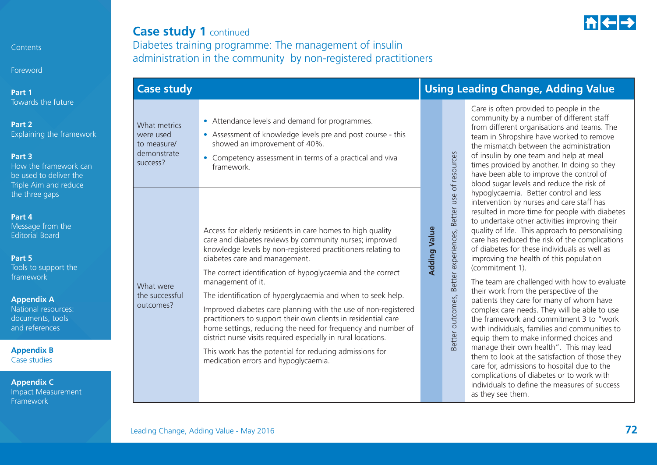**Foreword** 

**Part 1** Towards the future

#### **Part 2** Explaining the framework

#### **Part 3**

How the framework can be used to deliver the Triple Aim and reduce the three gaps

#### **Part 4**

Message from the Editorial Board

#### **Part 5**

Tools to support the framework

#### **Appendix A**

National resources: documents, tools and references

**Appendix B**  Case studies

**Appendix C**  Impact Measurement Framework

### **Case study 1 continued** Diabetes training programme: The management of insulin

administration in the community by non-registered practitioners

## **Case study Using Leading Change, Adding Value**

What metrics were used to measure/demonstrate success?

What were the successful outcomes?

- Attendance levels and demand for programmes.
- Assessment of knowledge levels pre and post course this showed an improvement of 40%.
- Competency assessment in terms of a practical and viva framework.

Access for elderly residents in care homes to high quality care and diabetes reviews by community nurses; improved knowledge levels by non-registered practitioners relating to diabetes care and management.

The correct identification of hypoglycaemia and the correct management of it.

The identification of hyperglycaemia and when to seek help.

Improved diabetes care planning with the use of non-registered practitioners to support their own clients in residential care home settings, reducing the need for frequency and number of district nurse visits required especially in rural locations.

This work has the potential for reducing admissions for medication errors and hypoglycaemia.

## Care is often provided to people in the

**Adding Value**

**Adding Value** 

Better outcomes, Better experiences, Better use of resources

Better experiences,

Better outcomes,

Better use of resources

community by a number of different staff from different organisations and teams. The team in Shropshire have worked to remove the mismatch between the administration of insulin by one team and help at meal times provided by another. In doing so they have been able to improve the control of blood sugar levels and reduce the risk of hypoglycaemia. Better control and less intervention by nurses and care staff has resulted in more time for people with diabetes to undertake other activities improving their quality of life. This approach to personalising care has reduced the risk of the complications of diabetes for these individuals as well as improving the health of this population (commitment 1).

The team are challenged with how to evaluate their work from the perspective of the patients they care for many of whom have complex care needs. They will be able to use the framework and commitment 3 to "work with individuals, families and communities to equip them to make informed choices and manage their own health". This may lead them to look at the satisfaction of those they care for, admissions to hospital due to the complications of diabetes or to work with individuals to define the measures of success as they see them.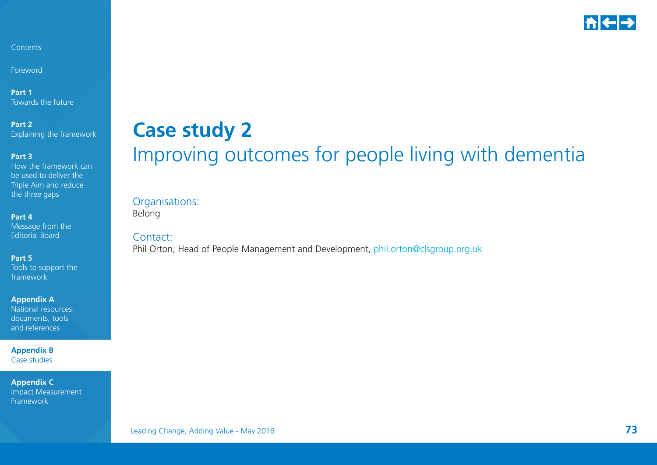

Foreword

**Part 1** Towards the future

**Part 2**  Explaining the framework

#### **Part 3**

How the framework can be used to deliver the Triple Aim and reduce the three gaps

**Part 4** 

Message from the Editorial Board

**Part 5** 

Tools to support the framework

**Appendix A** 

National resources: documents, tools and references

**Appendix B**  Case studies

**Appendix C**  Impact Measurement Framework

## **Case study 2** Improving outcomes for people living with dementia

### Organisations:

Belong

Contact:

Phil Orton, Head of People Management and Development, [phil.orton@clsgroup.org.uk](mailto:phil.orton%40clsgroup.org.uk?subject=)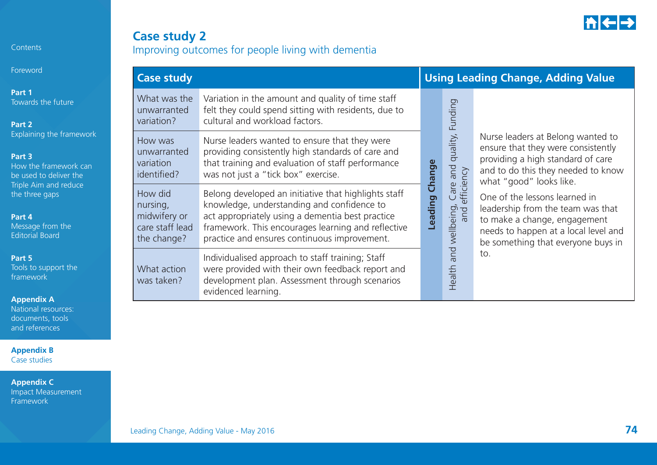

Foreword

**Part 1**  Towards the future

**Part 2**  Explaining the framework

#### **Part 3**

How the framework can be used to deliver the Triple Aim and reduce the three gaps

#### **Part 4**

Message from the Editorial Board

#### **Part 5**

Tools to support the framework

**Appendix A** 

National resources: documents, tools and references

**Appendix B**  Case studies

| <b>Case study 2</b>                                |  |  |
|----------------------------------------------------|--|--|
| Improving outcomes for people living with dementia |  |  |

| <b>Case study</b>                                                     |                                                                                                                                                                                                                                                              |                |                                                 | <b>Using Leading Change, Adding Value</b>                                                                                                                                        |  |  |  |
|-----------------------------------------------------------------------|--------------------------------------------------------------------------------------------------------------------------------------------------------------------------------------------------------------------------------------------------------------|----------------|-------------------------------------------------|----------------------------------------------------------------------------------------------------------------------------------------------------------------------------------|--|--|--|
| What was the<br>unwarranted<br>variation?                             | Variation in the amount and quality of time staff<br>felt they could spend sitting with residents, due to<br>cultural and workload factors.                                                                                                                  |                | Funding                                         |                                                                                                                                                                                  |  |  |  |
| How was<br>unwarranted<br>variation<br>identified?                    | Nurse leaders wanted to ensure that they were<br>providing consistently high standards of care and<br>that training and evaluation of staff performance<br>was not just a "tick box" exercise.                                                               |                | Care and quality,<br>efficiency<br>wellbeing, v | Nurse leaders at Belong wanted to<br>ensure that they were consistently<br>providing a high standard of care<br>and to do this they needed to know<br>what "good" looks like.    |  |  |  |
| How did<br>nursing,<br>midwifery or<br>care staff lead<br>the change? | Belong developed an initiative that highlights staff<br>knowledge, understanding and confidence to<br>act appropriately using a dementia best practice<br>framework. This encourages learning and reflective<br>practice and ensures continuous improvement. | Leading Change |                                                 | One of the lessons learned in<br>leadership from the team was that<br>to make a change, engagement<br>needs to happen at a local level and<br>be something that everyone buys in |  |  |  |
| What action<br>was taken?                                             | Individualised approach to staff training; Staff<br>were provided with their own feedback report and<br>development plan. Assessment through scenarios<br>evidenced learning.                                                                                |                | and<br>Health                                   | to.                                                                                                                                                                              |  |  |  |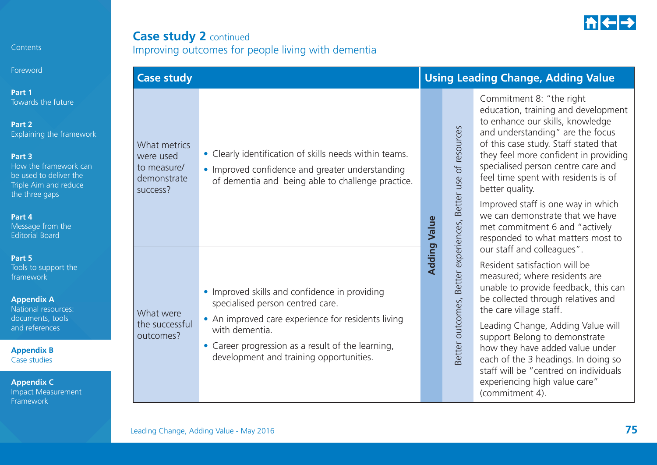

### **Case study 2 continued** Improving outcomes for people living with dementia

| <b>Case study</b>                                                   |                                                                                                                                                                                                                                                           |                     |                                                              | <b>Using Leading Change, Adding Value</b>                                                                                                                                                                                                                                                                                                                                                                                                                                  |  |  |
|---------------------------------------------------------------------|-----------------------------------------------------------------------------------------------------------------------------------------------------------------------------------------------------------------------------------------------------------|---------------------|--------------------------------------------------------------|----------------------------------------------------------------------------------------------------------------------------------------------------------------------------------------------------------------------------------------------------------------------------------------------------------------------------------------------------------------------------------------------------------------------------------------------------------------------------|--|--|
| What metrics<br>were used<br>to measure/<br>demonstrate<br>success? | • Clearly identification of skills needs within teams.<br>• Improved confidence and greater understanding<br>of dementia and being able to challenge practice.                                                                                            | <b>Adding Value</b> |                                                              | Commitment 8: "the right<br>education, training and development<br>to enhance our skills, knowledge<br>and understanding" are the focus<br>of this case study. Staff stated that<br>they feel more confident in providing<br>specialised person centre care and<br>feel time spent with residents is of<br>better quality.<br>Improved staff is one way in which<br>we can demonstrate that we have<br>met commitment 6 and "actively<br>responded to what matters most to |  |  |
| What were<br>the successful<br>outcomes?                            | • Improved skills and confidence in providing<br>specialised person centred care.<br>• An improved care experience for residents living<br>with dementia.<br>• Career progression as a result of the learning,<br>development and training opportunities. |                     | Better outcomes, Better experiences, Better use of resources | our staff and colleagues".<br>Resident satisfaction will be<br>measured; where residents are<br>unable to provide feedback, this can<br>be collected through relatives and<br>the care village staff.<br>Leading Change, Adding Value will<br>support Belong to demonstrate<br>how they have added value under<br>each of the 3 headings. In doing so<br>staff will be "centred on individuals<br>experiencing high value care"<br>(commitment 4).                         |  |  |

Contents

Foreword

**Part 1**  Towards the future

**Part 2**  Explaining the framev

#### **Part 3**

How the framework be used to deliver the Triple Aim and reduce the three gaps

#### **Part 4**

Message from the Editorial Board

#### **Part 5**

Tools to support the framework

#### **Appendix A**

National resources: documents, tools and references

**Appendix B**  Case studies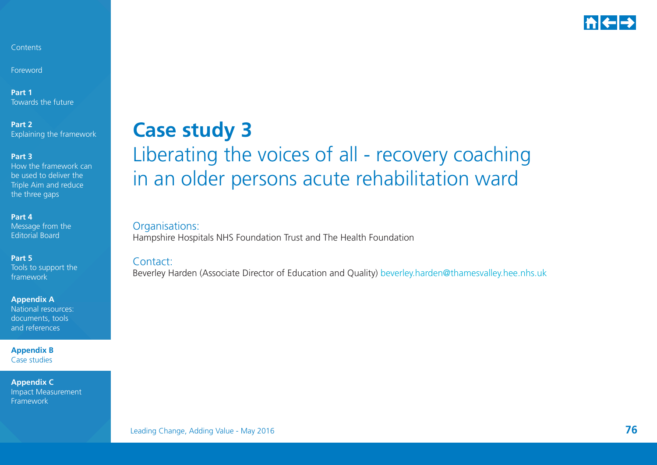

Foreword

**Part 1** Towards the future

**Part 2**  Explaining the framework

#### **Part 3**

How the framework can be used to deliver the Triple Aim and reduce the three gaps

#### **Part 4**

Message from the Editorial Board

#### **Part 5**

Tools to support the framework

**Appendix A** 

National resources: documents, tools and references

**Appendix B**  Case studies

**Appendix C**  Impact Measurement Framework

## **Case study 3** Liberating the voices of all - recovery coaching in an older persons acute rehabilitation ward

Organisations: Hampshire Hospitals NHS Foundation Trust and The Health Foundation

#### Contact:

Beverley Harden (Associate Director of Education and Quality) b[everley.harden@thamesvalley.hee.nhs.uk](Beverley.Harden@thamesvalley.hee.nhs.uk)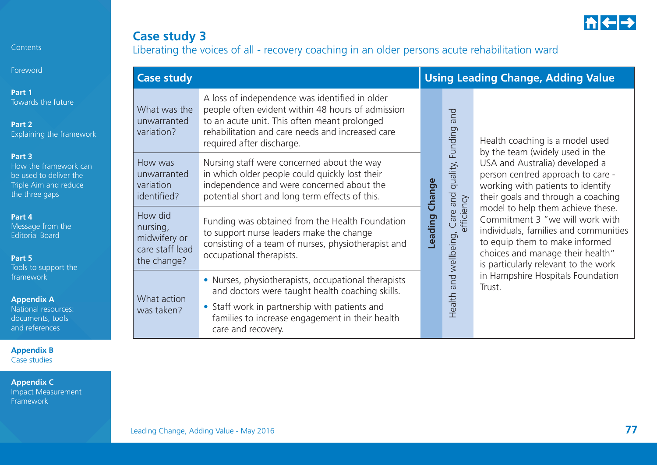

### **Case study 3** Liberating the voices of all - recovery coaching in an older persons acute rehabilitation ward

|                             | <b>Case study</b>                                                     |                                                                                                                                                                                                                                      |                |                                                   | <b>Using Leading Change, Adding Value</b>                                                                                                                                                                                                                                                                                                                                     |                                             |  |  |
|-----------------------------|-----------------------------------------------------------------------|--------------------------------------------------------------------------------------------------------------------------------------------------------------------------------------------------------------------------------------|----------------|---------------------------------------------------|-------------------------------------------------------------------------------------------------------------------------------------------------------------------------------------------------------------------------------------------------------------------------------------------------------------------------------------------------------------------------------|---------------------------------------------|--|--|
| ure<br>ramework             | What was the<br>unwarranted<br>variation?                             | A loss of independence was identified in older<br>people often evident within 48 hours of admission<br>to an acute unit. This often meant prolonged<br>rehabilitation and care needs and increased care<br>required after discharge. |                | and<br>Funding                                    | Health coaching is a model used<br>by the team (widely used in the                                                                                                                                                                                                                                                                                                            |                                             |  |  |
| vork can<br>er the<br>educe | How was<br>unwarranted<br>variation<br>identified?                    | Nursing staff were concerned about the way<br>in which older people could quickly lost their<br>independence and were concerned about the<br>potential short and long term effects of this.                                          |                | quality,<br>and wellbeing, Care and<br>efficiency | USA and Australia) developed a<br>person centred approach to care -<br>working with patients to identify<br>their goals and through a coaching<br>model to help them achieve these.<br>Commitment 3 "we will work with<br>individuals, families and communities<br>to equip them to make informed<br>choices and manage their health"<br>is particularly relevant to the work |                                             |  |  |
| he<br>the                   | How did<br>nursing,<br>midwifery or<br>care staff lead<br>the change? | Funding was obtained from the Health Foundation<br>to support nurse leaders make the change<br>consisting of a team of nurses, physiotherapist and<br>occupational therapists.                                                       | Leading Change |                                                   |                                                                                                                                                                                                                                                                                                                                                                               |                                             |  |  |
| tes:<br>ls                  | What action<br>was taken?                                             | • Nurses, physiotherapists, occupational therapists<br>and doctors were taught health coaching skills.<br>• Staff work in partnership with patients and<br>families to increase engagement in their health<br>care and recovery.     |                |                                                   | Health                                                                                                                                                                                                                                                                                                                                                                        | in Hampshire Hospitals Foundation<br>Trust. |  |  |

Contents

Foreword

**Part 1**  Towards the fut

**Part 2**  Explaining the f

#### **Part 3**

How the framev be used to deliv Triple Aim and the three gaps

#### **Part 4**

Message from t Editorial Board

#### **Part 5**

Tools to support framework

#### **Appendix A**

National resources documents, too and references

**Appendix B**  Case studies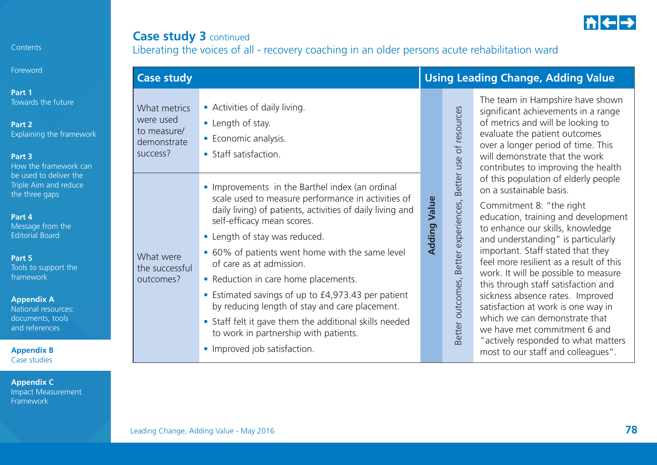**Foreword** 

**Part 1** Towards the future

**Part 2** Explaining the framework

#### **Part 3**

How the framework can be used to deliver the Triple Aim and reduce the three gaps

#### **Part 4**

Message from the Editorial Board

#### **Part 5**

Tools to support the framework

#### **Appendix A**

National resources: documents, tools and references

**Appendix B**  Case studies

**Appendix C**  Impact Measurement Framework

What were the successful outcomes?

What metrics were used to measure/demonstrate success?

**Case study 3** continued

scale used to measure performance in activities of daily living) of patients, activities of daily living and self-efficacy mean scores.

• Length of stay.

• Economic analysis. • Staff satisfaction.

• Length of stay was reduced.

• Activities of daily living.

• 60% of patients went home with the same level of care as at admission.

• Improvements in the Barthel index (an ordinal

Liberating the voices of all - recovery coaching in an older persons acute rehabilitation ward

- Reduction in care home placements.
	- Estimated savings of up to £4,973.43 per patient by reducing length of stay and care placement.
	- Staff felt it gave them the additional skills needed to work in partnership with patients.
	- Improved job satisfaction.

|                                                              | significant achievements in a range<br>of metrics and will be looking to<br>evaluate the patient outcomes<br>over a longer period of time. This<br>will demonstrate that the work<br>contributes to improving the health<br>of this population of elderly people<br>on a sustainable basis.                                                                                                                                                                                              |
|--------------------------------------------------------------|------------------------------------------------------------------------------------------------------------------------------------------------------------------------------------------------------------------------------------------------------------------------------------------------------------------------------------------------------------------------------------------------------------------------------------------------------------------------------------------|
| Better outcomes, Better experiences, Better use of resources | Commitment 8: "the right<br>education, training and developmer<br>to enhance our skills, knowledge<br>and understanding" is particularly<br>important. Staff stated that they<br>feel more resilient as a result of this<br>work. It will be possible to measure<br>this through staff satisfaction and<br>sickness absence rates. Improved<br>satisfaction at work is one way in<br>which we can demonstrate that<br>we have met commitment 6 and<br>"actively responded to what matter |

**Adding Value**

**Adding Value** 

"actively responded to what matters most to our staff and colleagues".

## **Case study Using Leading Change, Adding Value**

ooking to itcomes time. This he work g the health derly people 'aht development nowledge particularly that they result of this

The team in Hampshire have shown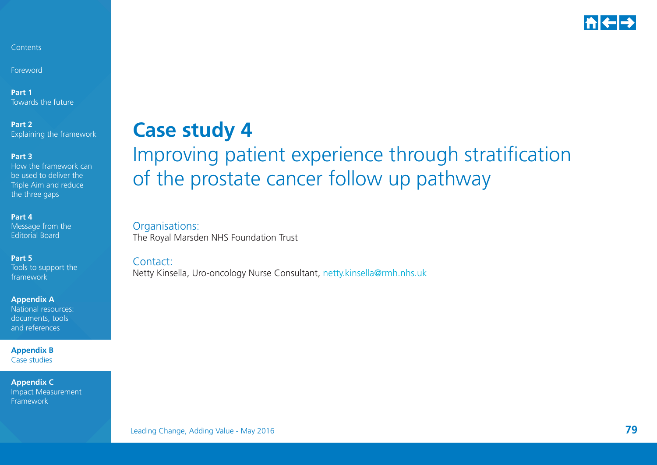

Foreword

**Part 1** Towards the future

**Part 2**  Explaining the framework

**Part 3** 

How the framework can be used to deliver the Triple Aim and reduce the three gaps

**Part 4** 

Message from the Editorial Board

**Part 5** 

Tools to support the framework

**Appendix A** 

National resources: documents, tools and references

**Appendix B**  Case studies

**Appendix C**  Impact Measurement Framework

## **Case study 4** Improving patient experience through stratification of the prostate cancer follow up pathway

Organisations: The Royal Marsden NHS Foundation Trust

Contact:

Netty Kinsella, Uro-oncology Nurse Consultant, n[etty.kinsella@rmh.nhs.uk](mailto:Netty.kinsella%40rmh.nhs.uk?subject=)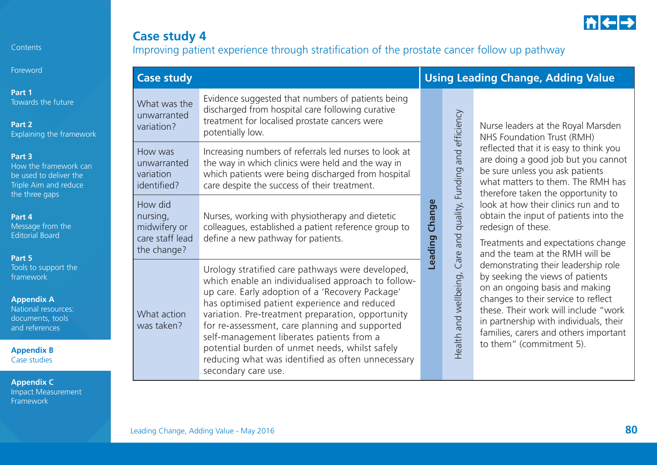

### **Case study 4** Improving patient experience through stratification of the prostate cancer follow up pathway

| Foreword                                                                                                                      | <b>Case study</b>                                                     |                                                                                                                                                                                                                                                                                                                                                               |                          | <b>Using Leading Change, Adding Value</b> |                                                                                                                                                                                                                                                                                                                                                                                                                                                                                                                                                                                                                                                                                        |  |  |
|-------------------------------------------------------------------------------------------------------------------------------|-----------------------------------------------------------------------|---------------------------------------------------------------------------------------------------------------------------------------------------------------------------------------------------------------------------------------------------------------------------------------------------------------------------------------------------------------|--------------------------|-------------------------------------------|----------------------------------------------------------------------------------------------------------------------------------------------------------------------------------------------------------------------------------------------------------------------------------------------------------------------------------------------------------------------------------------------------------------------------------------------------------------------------------------------------------------------------------------------------------------------------------------------------------------------------------------------------------------------------------------|--|--|
| Part 1<br>Towards the future<br>Part 2<br>Explaining the framework                                                            | What was the<br>unwarranted<br>variation?                             | Evidence suggested that numbers of patients being<br>discharged from hospital care following curative<br>treatment for localised prostate cancers were<br>potentially low.                                                                                                                                                                                    |                          | and efficiency                            | Nurse leaders at the Royal Marsden<br>NHS Foundation Trust (RMH)                                                                                                                                                                                                                                                                                                                                                                                                                                                                                                                                                                                                                       |  |  |
| Part 3<br>How the framework can<br>be used to deliver the<br>Triple Aim and reduce<br>the three gaps                          | How was<br>unwarranted<br>variation<br>identified?                    | Increasing numbers of referrals led nurses to look at<br>the way in which clinics were held and the way in<br>which patients were being discharged from hospital<br>care despite the success of their treatment.                                                                                                                                              |                          | Funding                                   | reflected that it is easy to think you<br>are doing a good job but you cannot<br>be sure unless you ask patients<br>what matters to them. The RMH has<br>therefore taken the opportunity to<br>look at how their clinics run and to<br>obtain the input of patients into the<br>redesign of these.<br>Treatments and expectations change<br>and the team at the RMH will be<br>demonstrating their leadership role<br>by seeking the views of patients<br>on an ongoing basis and making<br>changes to their service to reflect<br>these. Their work will include "work<br>in partnership with individuals, their<br>families, carers and others important<br>to them" (commitment 5). |  |  |
| Part 4<br>Message from the<br><b>Editorial Board</b>                                                                          | How did<br>nursing,<br>midwifery or<br>care staff lead<br>the change? | Nurses, working with physiotherapy and dietetic<br>colleagues, established a patient reference group to<br>define a new pathway for patients.                                                                                                                                                                                                                 | Change<br><b>Leading</b> | quality, F<br>bue<br>are                  |                                                                                                                                                                                                                                                                                                                                                                                                                                                                                                                                                                                                                                                                                        |  |  |
| Part 5<br>Tools to support the<br>framework<br><b>Appendix A</b><br>National resources:<br>documents, tools<br>and references | What action<br>was taken?                                             | Urology stratified care pathways were developed,<br>which enable an individualised approach to follow-<br>up care. Early adoption of a 'Recovery Package'<br>has optimised patient experience and reduced<br>variation. Pre-treatment preparation, opportunity<br>for re-assessment, care planning and supported<br>self-management liberates patients from a |                          | $\overline{C}$<br>Health and wellbeing,   |                                                                                                                                                                                                                                                                                                                                                                                                                                                                                                                                                                                                                                                                                        |  |  |
| <b>Appendix B</b><br>Case studies                                                                                             |                                                                       | potential burden of unmet needs, whilst safely<br>reducing what was identified as often unnecessary<br>secondary care use.                                                                                                                                                                                                                                    |                          |                                           |                                                                                                                                                                                                                                                                                                                                                                                                                                                                                                                                                                                                                                                                                        |  |  |

**Appendix C**  Impact Measurement Framework

Contents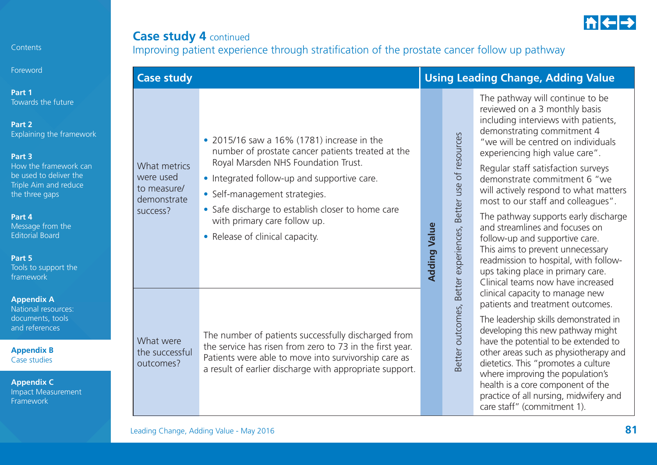

## **Case study 4 continued** Improving patient experience through stratification of the prostate cancer follow up pathway

|                                     | <b>Case study</b>                                                   |                                                                                                                                                                                                                                                                                                                                                |                     | <b>Using Leading Change, Adding Value</b> |                                                                                                                                                                                                                                                                                                                                                                                                                                                                                                                                                                                                                                       |  |  |
|-------------------------------------|---------------------------------------------------------------------|------------------------------------------------------------------------------------------------------------------------------------------------------------------------------------------------------------------------------------------------------------------------------------------------------------------------------------------------|---------------------|-------------------------------------------|---------------------------------------------------------------------------------------------------------------------------------------------------------------------------------------------------------------------------------------------------------------------------------------------------------------------------------------------------------------------------------------------------------------------------------------------------------------------------------------------------------------------------------------------------------------------------------------------------------------------------------------|--|--|
| ework<br>$\epsilon$ can<br>he<br>ce | What metrics<br>were used<br>to measure/<br>demonstrate<br>success? | • 2015/16 saw a 16% (1781) increase in the<br>number of prostate cancer patients treated at the<br>Royal Marsden NHS Foundation Trust.<br>• Integrated follow-up and supportive care.<br>• Self-management strategies.<br>• Safe discharge to establish closer to home care<br>with primary care follow up.<br>• Release of clinical capacity. | <b>Adding Value</b> | Better use of resources                   | The pathway will continue to be<br>reviewed on a 3 monthly basis<br>including interviews with patients,<br>demonstrating commitment 4<br>"we will be centred on individuals<br>experiencing high value care".<br>Regular staff satisfaction surveys<br>demonstrate commitment 6 "we<br>will actively respond to what matters<br>most to our staff and colleagues".<br>The pathway supports early discharge<br>and streamlines and focuses on<br>follow-up and supportive care.<br>This aims to prevent unnecessary<br>readmission to hospital, with follow-<br>ups taking place in primary care.<br>Clinical teams now have increased |  |  |
| ٦t.                                 | What were<br>the successful<br>outcomes?                            | The number of patients successfully discharged from<br>the service has risen from zero to 73 in the first year.<br>Patients were able to move into survivorship care as<br>a result of earlier discharge with appropriate support.                                                                                                             |                     | Better outcomes, Better experiences,      | clinical capacity to manage new<br>patients and treatment outcomes.<br>The leadership skills demonstrated in<br>developing this new pathway might<br>have the potential to be extended to<br>other areas such as physiotherapy and<br>dietetics. This "promotes a culture<br>where improving the population's<br>health is a core component of the<br>practice of all nursing, midwifery and<br>care staff" (commitment 1).                                                                                                                                                                                                           |  |  |

Contents

Foreword

**Part 1**  Towards the future

**Part 2**  Explaining the frame

#### **Part 3**

How the framework be used to deliver the Triple Aim and reduthe three gaps

**Part 4** 

Message from the Editorial Board

**Part 5** 

Tools to support the framework

**Appendix A** 

National resources: documents, tools and references

**Appendix B**  Case studies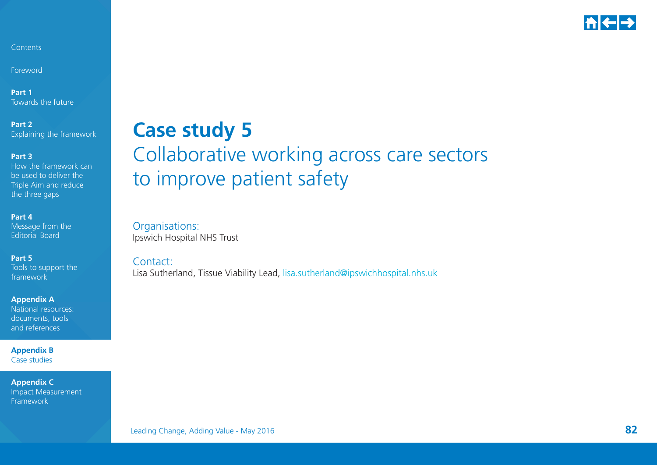

Foreword

**Part 1** Towards the future

**Part 2**  Explaining the framework

**Part 3** 

How the framework can be used to deliver the Triple Aim and reduce the three gaps

**Part 4** 

Message from the Editorial Board

**Part 5** 

Tools to support the framework

**Appendix A** 

National resources: documents, tools and references

**Appendix B**  Case studies

**Appendix C**  Impact Measurement Framework

## **Case study 5** Collaborative working across care sectors to improve patient safety

Organisations: Ipswich Hospital NHS Trust

Contact:

Lisa Sutherland, Tissue Viability Lead, [lisa.sutherland@ipswichhospital.nhs.uk](mailto:lisa.Sutherland%40ipswichhospital.nhs.uk?subject=)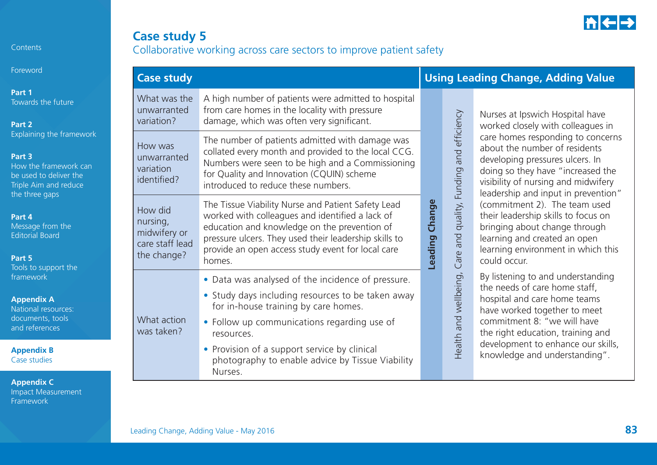

## **Case study 5** Collaborative working across care sectors to improve patient safety

| Foreword                                                                                                                         | <b>Case study</b>                                                     |                                                                                                                                                                                                                                                                               |                   | <b>Using Leading Change, Adding Value</b>                  |                                                                                                                                                                                                                                                                                                                                                                                                       |  |
|----------------------------------------------------------------------------------------------------------------------------------|-----------------------------------------------------------------------|-------------------------------------------------------------------------------------------------------------------------------------------------------------------------------------------------------------------------------------------------------------------------------|-------------------|------------------------------------------------------------|-------------------------------------------------------------------------------------------------------------------------------------------------------------------------------------------------------------------------------------------------------------------------------------------------------------------------------------------------------------------------------------------------------|--|
| Part 1<br>Towards the future<br>Part 2                                                                                           | What was the<br>unwarranted<br>variation?                             | A high number of patients were admitted to hospital<br>from care homes in the locality with pressure<br>damage, which was often very significant.                                                                                                                             |                   |                                                            | Nurses at Ipswich Hospital have<br>worked closely with colleagues in                                                                                                                                                                                                                                                                                                                                  |  |
| Explaining the framework<br>Part 3<br>How the framework can<br>be used to deliver the<br>Triple Aim and reduce<br>the three gaps | How was<br>unwarranted<br>variation<br>identified?                    | The number of patients admitted with damage was<br>collated every month and provided to the local CCG.<br>Numbers were seen to be high and a Commissioning<br>for Quality and Innovation (CQUIN) scheme<br>introduced to reduce these numbers.                                |                   | and efficiency                                             | care homes responding to concerns<br>about the number of residents<br>developing pressures ulcers. In<br>doing so they have "increased the<br>visibility of nursing and midwifery<br>leadership and input in prevention"                                                                                                                                                                              |  |
| Part 4<br>Message from the<br><b>Editorial Board</b><br>Part 5<br>Tools to support the                                           | How did<br>nursing,<br>midwifery or<br>care staff lead<br>the change? | The Tissue Viability Nurse and Patient Safety Lead<br>worked with colleagues and identified a lack of<br>education and knowledge on the prevention of<br>pressure ulcers. They used their leadership skills to<br>provide an open access study event for local care<br>homes. | Change<br>Leading | quality, Funding<br>and<br>Care a<br>Health and wellbeing, | (commitment 2). The team used<br>their leadership skills to focus on<br>bringing about change through<br>learning and created an open<br>learning environment in which this<br>could occur.<br>By listening to and understanding<br>the needs of care home staff,<br>hospital and care home teams<br>have worked together to meet<br>commitment 8: "we will have<br>the right education, training and |  |
| framework<br><b>Appendix A</b><br>National resources:<br>documents, tools<br>and references                                      | What action<br>was taken?                                             | • Data was analysed of the incidence of pressure.<br>• Study days including resources to be taken away<br>for in-house training by care homes.<br>• Follow up communications regarding use of<br>resources.                                                                   |                   |                                                            |                                                                                                                                                                                                                                                                                                                                                                                                       |  |
| <b>Appendix B</b><br>Case studies                                                                                                |                                                                       | • Provision of a support service by clinical<br>photography to enable advice by Tissue Viability<br>Nurses.                                                                                                                                                                   |                   |                                                            | development to enhance our skills,<br>knowledge and understanding".                                                                                                                                                                                                                                                                                                                                   |  |

**Contents**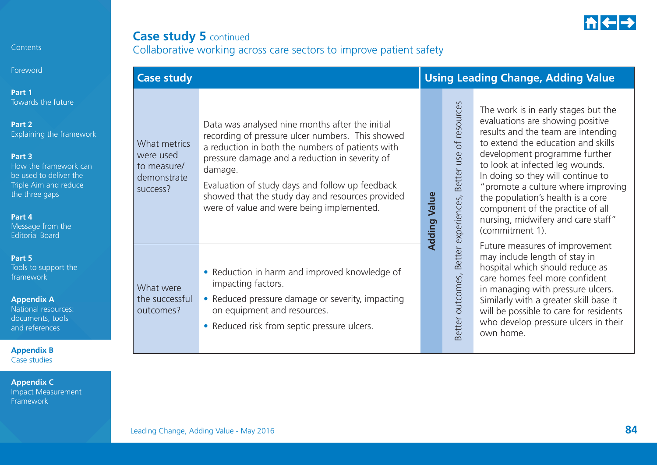

## **Case study 5 continued** Collaborative working across care sectors to improve patient safety

| <b>Case study</b>                                                   |                                                                                                                                                                                                                                                                                                                                                                          |                     |                                      | <b>Using Leading Change, Adding Value</b>                                                                                                                                                                                                                                                                                                                                                                                            |  |  |  |
|---------------------------------------------------------------------|--------------------------------------------------------------------------------------------------------------------------------------------------------------------------------------------------------------------------------------------------------------------------------------------------------------------------------------------------------------------------|---------------------|--------------------------------------|--------------------------------------------------------------------------------------------------------------------------------------------------------------------------------------------------------------------------------------------------------------------------------------------------------------------------------------------------------------------------------------------------------------------------------------|--|--|--|
| What metrics<br>were used<br>to measure/<br>demonstrate<br>success? | Data was analysed nine months after the initial<br>recording of pressure ulcer numbers. This showed<br>a reduction in both the numbers of patients with<br>pressure damage and a reduction in severity of<br>damage.<br>Evaluation of study days and follow up feedback<br>showed that the study day and resources provided<br>were of value and were being implemented. | <b>Adding Value</b> | of resources<br>Better use           | The work is in early stages but the<br>evaluations are showing positive<br>results and the team are intending<br>to extend the education and skills<br>development programme further<br>to look at infected leg wounds.<br>In doing so they will continue to<br>"promote a culture where improving<br>the population's health is a core<br>component of the practice of all<br>nursing, midwifery and care staff"<br>(commitment 1). |  |  |  |
| What were<br>the successful<br>outcomes?                            | • Reduction in harm and improved knowledge of<br>impacting factors.<br>• Reduced pressure damage or severity, impacting<br>on equipment and resources.<br>• Reduced risk from septic pressure ulcers.                                                                                                                                                                    |                     | Better outcomes, Better experiences, | Future measures of improvement<br>may include length of stay in<br>hospital which should reduce as<br>care homes feel more confident<br>in managing with pressure ulcers.<br>Similarly with a greater skill base it<br>will be possible to care for residents<br>who develop pressure ulcers in their<br>own home.                                                                                                                   |  |  |  |

Foreword

**Part 1**  Towards the future

**Part 2**  Explaining the framewo

#### **Part 3**

How the framework can be used to deliver the Triple Aim and reduce the three gaps

#### **Part 4**

Message from the Editorial Board

#### **Part 5**

Tools to support the framework

#### **Appendix A**

National resources: documents, tools and references

**Appendix B**  Case studies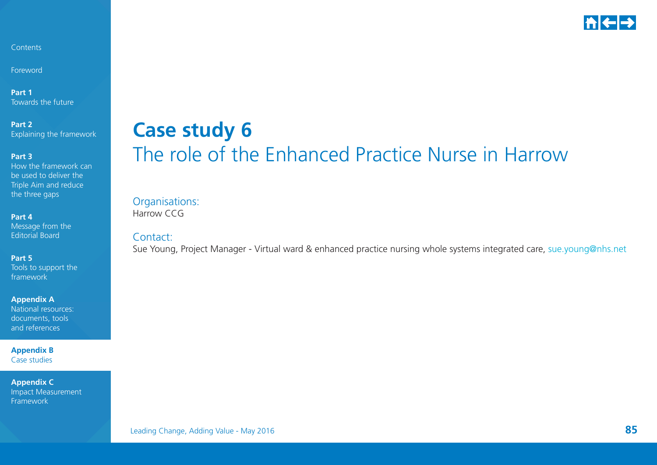

Foreword

**Part 1** Towards the future

**Part 2**  Explaining the framework

#### **Part 3**

How the framework can be used to deliver the Triple Aim and reduce the three gaps

**Part 4** 

Message from the Editorial Board

**Part 5** 

Tools to support the framework

**Appendix A** 

National resources: documents, tools and references

**Appendix B**  Case studies

**Appendix C**  Impact Measurement Framework

## **Case study 6** The role of the Enhanced Practice Nurse in Harrow

Organisations: Harrow CCG

Contact:

Sue Young, Project Manager - Virtual ward & enhanced practice nursing whole systems integrated care, [sue.young@nhs.net](mailto:sue.young%40nhs.net?subject=)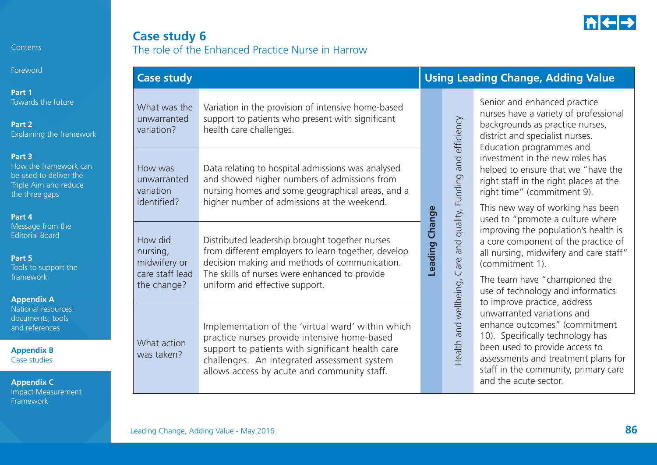

Foreword

**Part 1**  Towards the future

**Part 2**  Explaining the framework

#### **Part 3**

How the framework can be used to deliver the Triple Aim and reduce the three gaps

#### **Part 4**

Message from the Editorial Board

#### **Part 5**

Tools to support the framework

#### **Appendix A**

National resources: documents, tools and references

**Appendix B**  Case studies

| <b>Case study 6</b>                               |  |  |
|---------------------------------------------------|--|--|
| The role of the Enhanced Practice Nurse in Harrow |  |  |

| <b>Case study</b>                                  |                                                                                                                                                                                                                                                     |                | <b>Using Leading Change, Adding Value</b>   |                                                                                                                                                                                                                                           |  |  |
|----------------------------------------------------|-----------------------------------------------------------------------------------------------------------------------------------------------------------------------------------------------------------------------------------------------------|----------------|---------------------------------------------|-------------------------------------------------------------------------------------------------------------------------------------------------------------------------------------------------------------------------------------------|--|--|
| What was the<br>unwarranted<br>variation?          | Variation in the provision of intensive home-based<br>support to patients who present with significant<br>health care challenges.                                                                                                                   |                |                                             | Senior and enhanced practice<br>nurses have a variety of professional<br>backgrounds as practice nurses,<br>district and specialist nurses.<br>Education programmes and                                                                   |  |  |
| How was<br>unwarranted<br>variation<br>identified? | Data relating to hospital admissions was analysed<br>and showed higher numbers of admissions from<br>nursing homes and some geographical areas, and a                                                                                               |                |                                             | investment in the new roles has<br>helped to ensure that we "have the<br>right staff in the right places at the<br>right time" (commitment 9).                                                                                            |  |  |
| How did<br>nursing,<br>midwifery or                | higher number of admissions at the weekend.<br>Distributed leadership brought together nurses<br>from different employers to learn together, develop<br>decision making and methods of communication.                                               | Leading Change | and quality, Funding and efficiency<br>Care | This new way of working has been<br>used to "promote a culture where<br>improving the population's health is<br>a core component of the practice of<br>all nursing, midwifery and care staff"<br>(commitment 1).                          |  |  |
| care staff lead<br>the change?                     | The skills of nurses were enhanced to provide<br>uniform and effective support.                                                                                                                                                                     |                |                                             | The team have "championed the<br>use of technology and informatics<br>to improve practice, address                                                                                                                                        |  |  |
| What action<br>was taken?                          | Implementation of the 'virtual ward' within which<br>practice nurses provide intensive home-based<br>support to patients with significant health care<br>challenges. An integrated assessment system<br>allows access by acute and community staff. |                | Health and wellbeing,                       | unwarranted variations and<br>enhance outcomes" (commitment<br>10). Specifically technology has<br>been used to provide access to<br>assessments and treatment plans for<br>staff in the community, primary care<br>and the acute sector. |  |  |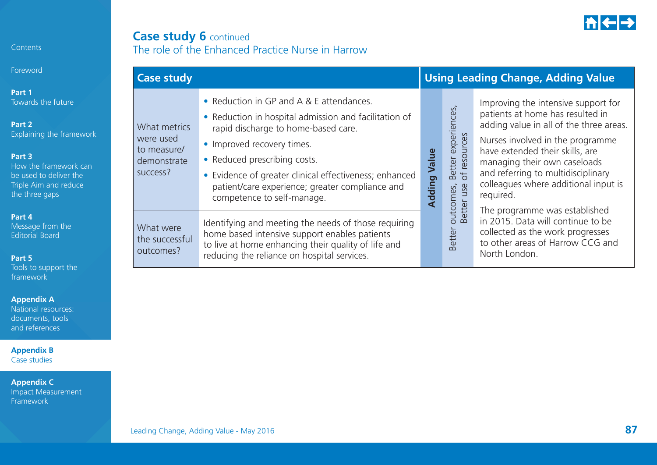

### **Case study 6** continued The role of the Enhanced Practice Nurse in Harrow

| <b>Case study</b>                                                   |                                                                                                                                                                                                                                                                                                                                                   |                 |                                                         | <b>Using Leading Change, Adding Value</b>                                                                                                                                                                                                                                                                            |
|---------------------------------------------------------------------|---------------------------------------------------------------------------------------------------------------------------------------------------------------------------------------------------------------------------------------------------------------------------------------------------------------------------------------------------|-----------------|---------------------------------------------------------|----------------------------------------------------------------------------------------------------------------------------------------------------------------------------------------------------------------------------------------------------------------------------------------------------------------------|
| What metrics<br>were used<br>to measure/<br>demonstrate<br>success? | • Reduction in GP and A & E attendances.<br>• Reduction in hospital admission and facilitation of<br>rapid discharge to home-based care.<br>• Improved recovery times.<br>• Reduced prescribing costs.<br>• Evidence of greater clinical effectiveness; enhanced<br>patient/care experience; greater compliance and<br>competence to self-manage. | Value<br>Adding | Better experiences,<br>of resources<br>use<br>outcomes, | Improving the intensive support for<br>patients at home has resulted in<br>adding value in all of the three areas.<br>Nurses involved in the programme<br>have extended their skills, are<br>managing their own caseloads<br>and referring to multidisciplinary<br>colleagues where additional input is<br>required. |
| What were<br>the successful<br>outcomes?                            | Identifying and meeting the needs of those requiring<br>home based intensive support enables patients<br>to live at home enhancing their quality of life and<br>reducing the reliance on hospital services.                                                                                                                                       |                 | <b>Better</b><br>Better                                 | The programme was established<br>in 2015. Data will continue to be<br>collected as the work progresses<br>to other areas of Harrow CCG and<br>North London.                                                                                                                                                          |

#### Contents

Foreword

**Part 1**  Towards the future

**Part 2**  Explaining the framework

#### **Part 3**

How the framework can be used to deliver the Triple Aim and reduce the three gaps

#### **Part 4**

Message from the Editorial Board

#### **Part 5**

Tools to support the framework

#### **Appendix A**

National resources: documents, tools and references

**Appendix B**  Case studies

**Appendix C**  Impact Measurement Framework

### Leading Change, Adding Value - May 2016 **87**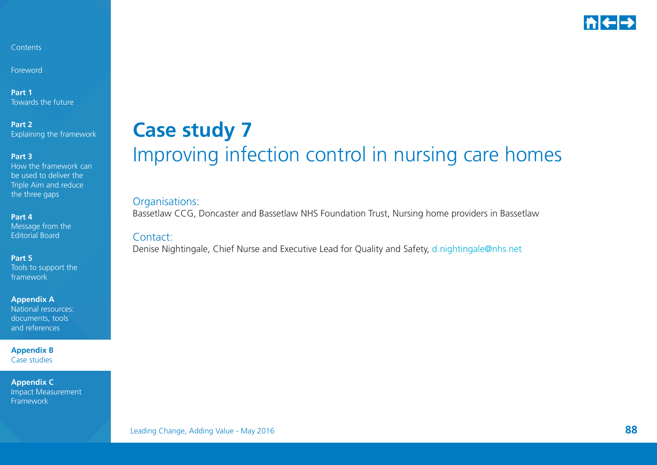

Foreword

**Part 1** Towards the future

**Part 2**  Explaining the framework

#### **Part 3**

How the framework can be used to deliver the Triple Aim and reduce the three gaps

**Part 4** 

Message from the Editorial Board

**Part 5** 

Tools to support the framework

**Appendix A** 

National resources: documents, tools and references

**Appendix B**  Case studies

**Appendix C**  Impact Measurement Framework

## **Case study 7** Improving infection control in nursing care homes

#### Organisations:

Bassetlaw CCG, Doncaster and Bassetlaw NHS Foundation Trust, Nursing home providers in Bassetlaw

#### Contact:

Denise Nightingale, Chief Nurse and Executive Lead for Quality and Safety, [d.nightingale@nhs.net](mailto:d.nightingale%40nhs.net?subject=)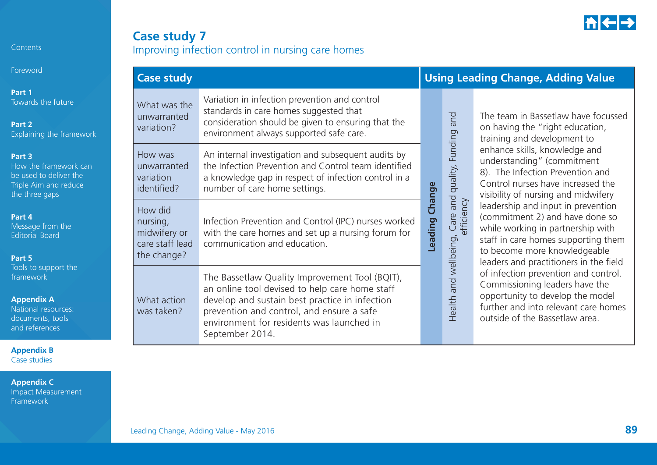

**Foreword** 

**Part 1** Towards the future

**Part 2** Explaining the framework

#### **Part 3**

How the framework can be used to deliver the Triple Aim and reduce the three gaps

#### **Part 4**

Message from the Editorial Board

#### **Part 5**

Tools to support the framework

#### **Appendix A**

National resources: documents, tools and references

**Appendix B**  Case studies

**Appendix C**  Impact Measurement Framework

## **Case study 7** Improving infection control in nursing care homes

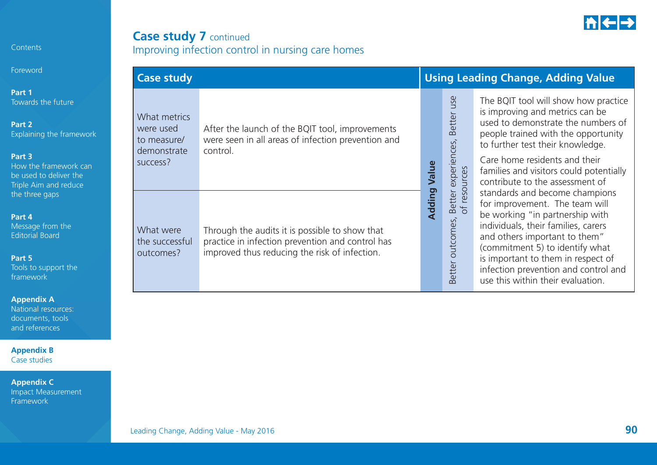

## **Case study 7 continued** Improving infection control in nursing care homes

| Foreword                                                                                                                                                 | <b>Case study</b>                                                   |                                                                                                                                                     |                                                                | <b>Using Leading Change, Adding Value</b>                                                                                                                                                                                                                                                                                         |
|----------------------------------------------------------------------------------------------------------------------------------------------------------|---------------------------------------------------------------------|-----------------------------------------------------------------------------------------------------------------------------------------------------|----------------------------------------------------------------|-----------------------------------------------------------------------------------------------------------------------------------------------------------------------------------------------------------------------------------------------------------------------------------------------------------------------------------|
| Part 1<br>Towards the future<br>Part 2<br>Explaining the framework<br>Part 3<br>How the framework can<br>be used to deliver the<br>Triple Aim and reduce | What metrics<br>were used<br>to measure/<br>demonstrate<br>success? | After the launch of the BQIT tool, improvements<br>were seen in all areas of infection prevention and<br>control.                                   | use<br>Better<br>experiences,<br>Value<br>urces                | The BQIT tool will show how practice<br>is improving and metrics can be<br>used to demonstrate the numbers of<br>people trained with the opportunity<br>to further test their knowledge.<br>Care home residents and their<br>families and visitors could potentially<br>contribute to the assessment of                           |
| the three gaps<br>Part 4<br>Message from the<br><b>Editorial Board</b><br>Part 5<br>Tools to support the<br>framework                                    | What were<br>the successful<br>outcomes?                            | Through the audits it is possible to show that<br>practice in infection prevention and control has<br>improved thus reducing the risk of infection. | Adding<br>reso<br>Better<br>$\overline{5}$<br>Better outcomes, | standards and become champions<br>for improvement. The team will<br>be working "in partnership with<br>individuals, their families, carers<br>and others important to them"<br>(commitment 5) to identify what<br>is important to them in respect of<br>infection prevention and control and<br>use this within their evaluation. |

#### **Appendix A**

**Contents** 

National resources: documents, tools and references

**Appendix B**  Case studies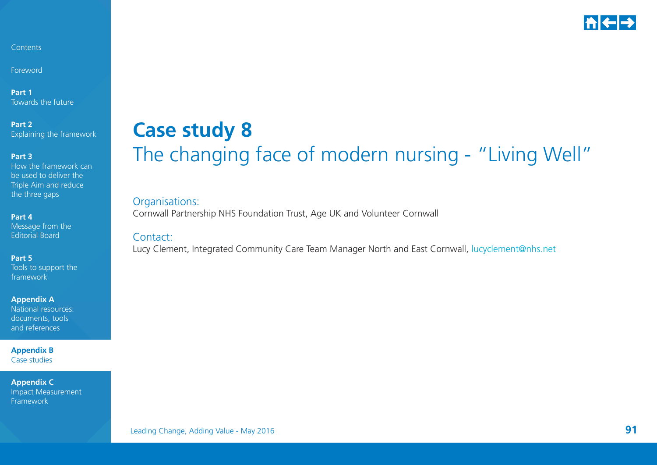

Foreword

**Part 1** Towards the future

**Part 2**  Explaining the framework

#### **Part 3**

How the framework can be used to deliver the Triple Aim and reduce the three gaps

#### **Part 4**

Message from the Editorial Board

#### **Part 5**

Tools to support the framework

**Appendix A** 

National resources: documents, tools and references

**Appendix B**  Case studies

**Appendix C**  Impact Measurement Framework

## **Case study 8** The changing face of modern nursing - "Living Well"

#### Organisations:

Cornwall Partnership NHS Foundation Trust, Age UK and Volunteer Cornwall

#### Contact:

Lucy Clement, Integrated Community Care Team Manager North and East Cornwall, [lucyclement@nhs.net](mailto:lucyclement%40nhs.net?subject=)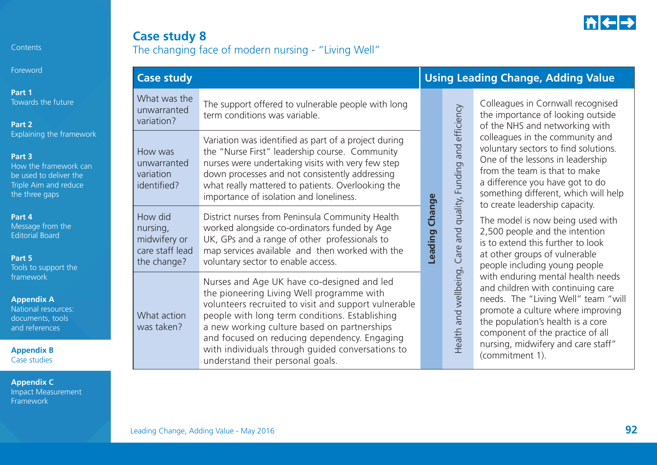

## **Case study 8** The changing face of modern nursing - "Living Well"

| Foreword                                                                                                                         | <b>Case study</b>                                                                                                                                                                                                                                                                                                                                                                                                     |                                                                                                                                                                                                                                                                                                               |                          |                                                                                                                                                                                                                                                                                      | <b>Using Leading Change, Adding Value</b>                                                                                                                                                                                                                 |
|----------------------------------------------------------------------------------------------------------------------------------|-----------------------------------------------------------------------------------------------------------------------------------------------------------------------------------------------------------------------------------------------------------------------------------------------------------------------------------------------------------------------------------------------------------------------|---------------------------------------------------------------------------------------------------------------------------------------------------------------------------------------------------------------------------------------------------------------------------------------------------------------|--------------------------|--------------------------------------------------------------------------------------------------------------------------------------------------------------------------------------------------------------------------------------------------------------------------------------|-----------------------------------------------------------------------------------------------------------------------------------------------------------------------------------------------------------------------------------------------------------|
| Part 1<br>Towards the future<br>Part 2                                                                                           | What was the<br>unwarranted<br>variation?                                                                                                                                                                                                                                                                                                                                                                             | The support offered to vulnerable people with long<br>term conditions was variable.                                                                                                                                                                                                                           |                          | efficiency                                                                                                                                                                                                                                                                           | Colleagues in Cornwall recognised<br>the importance of looking outside<br>of the NHS and networking with                                                                                                                                                  |
| Explaining the framework<br>Part 3<br>How the framework can<br>be used to deliver the<br>Triple Aim and reduce<br>the three gaps | How was<br>unwarranted<br>variation<br>identified?                                                                                                                                                                                                                                                                                                                                                                    | Variation was identified as part of a project during<br>the "Nurse First" leadership course. Community<br>nurses were undertaking visits with very few step<br>down processes and not consistently addressing<br>what really mattered to patients. Overlooking the<br>importance of isolation and loneliness. |                          | and<br>quality, Funding                                                                                                                                                                                                                                                              | colleagues in the community and<br>voluntary sectors to find solutions.<br>One of the lessons in leadership<br>from the team is that to make<br>a difference you have got to do<br>something different, which will help<br>to create leadership capacity. |
| Part 4<br>Message from the<br><b>Editorial Board</b><br>Part 5<br>Tools to support the                                           | How did<br>nursing,<br>midwifery or<br>care staff lead<br>the change?                                                                                                                                                                                                                                                                                                                                                 | District nurses from Peninsula Community Health<br>worked alongside co-ordinators funded by Age<br>UK, GPs and a range of other professionals to<br>map services available and then worked with the<br>voluntary sector to enable access.                                                                     | Leading Change           | and<br>are<br>$\cup$                                                                                                                                                                                                                                                                 | The model is now being used with<br>2,500 people and the intention<br>is to extend this further to look<br>at other groups of vulnerable<br>people including young people                                                                                 |
| framework<br><b>Appendix A</b><br>National resources:<br>documents, tools<br>and references<br><b>Appendix B</b><br>Case studies | Nurses and Age UK have co-designed and led<br>the pioneering Living Well programme with<br>volunteers recruited to visit and support vulnerable<br>people with long term conditions. Establishing<br>What action<br>a new working culture based on partnerships<br>was taken?<br>and focused on reducing dependency. Engaging<br>with individuals through guided conversations to<br>understand their personal goals. |                                                                                                                                                                                                                                                                                                               | and wellbeing,<br>Health | with enduring mental health needs<br>and children with continuing care<br>needs. The "Living Well" team "will<br>promote a culture where improving<br>the population's health is a core<br>component of the practice of all<br>nursing, midwifery and care staff"<br>(commitment 1). |                                                                                                                                                                                                                                                           |

**Appendix C**  Impact Measurement Framework

Contents

Foreword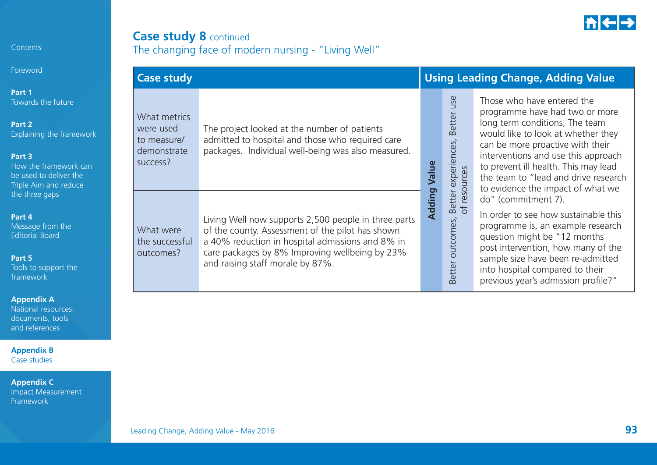

## **Case study 8** continued The changing face of modern nursing - "Living Well"

| Foreword                                                                                                                                                 | <b>Case study</b>                                                   |                                                                                                                                                                                                                                                    |        |                                                     | <b>Using Leading Change, Adding Value</b>                                                                                                                                                                                                                                                                                            |  |  |
|----------------------------------------------------------------------------------------------------------------------------------------------------------|---------------------------------------------------------------------|----------------------------------------------------------------------------------------------------------------------------------------------------------------------------------------------------------------------------------------------------|--------|-----------------------------------------------------|--------------------------------------------------------------------------------------------------------------------------------------------------------------------------------------------------------------------------------------------------------------------------------------------------------------------------------------|--|--|
| Part 1<br>Towards the future<br>Part 2<br>Explaining the framework<br>Part 3<br>How the framework can<br>be used to deliver the<br>Triple Aim and reduce | What metrics<br>were used<br>to measure/<br>demonstrate<br>success? | The project looked at the number of patients<br>admitted to hospital and those who required care<br>packages. Individual well-being was also measured.                                                                                             | Value  | use<br>Better<br>Better experiences<br>of resources | Those who have entered the<br>programme have had two or more<br>long term conditions, The team<br>would like to look at whether they<br>can be more proactive with their<br>interventions and use this approach<br>to prevent ill health. This may lead<br>the team to "lead and drive research<br>to evidence the impact of what we |  |  |
| the three gaps<br>Part 4<br>Message from the<br><b>Editorial Board</b><br>Part 5<br>Tools to support the<br>framework                                    | What were<br>the successful<br>outcomes?                            | Living Well now supports 2,500 people in three parts<br>of the county. Assessment of the pilot has shown<br>a 40% reduction in hospital admissions and 8% in<br>care packages by 8% Improving wellbeing by 23%<br>and raising staff morale by 87%. | Adding | outcomes,<br>etter<br>$\bar{m}$                     | do" (commitment 7).<br>In order to see how sustainable this<br>programme is, an example research<br>question might be "12 months<br>post intervention, how many of the<br>sample size have been re-admitted<br>into hospital compared to their<br>previous year's admission profile?"                                                |  |  |

#### **Appendix A**

**Contents** 

National resources: documents, tools and references

**Appendix B**  Case studies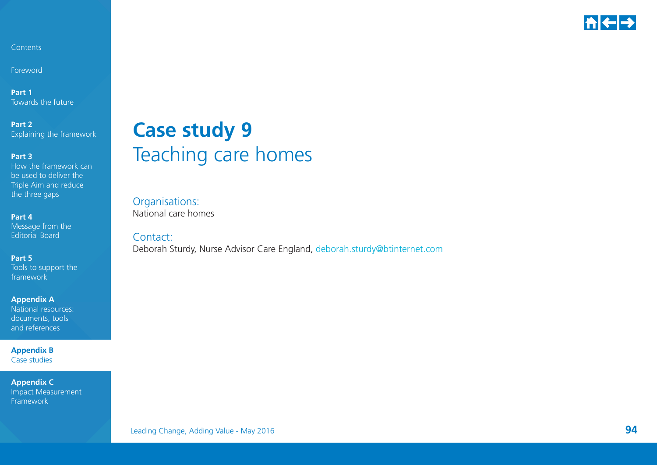

Foreword

**Part 1** Towards the future

**Part 2**  Explaining the framework

#### **Part 3**

How the framework can be used to deliver the Triple Aim and reduce the three gaps

**Part 4** 

Message from the Editorial Board

**Part 5** 

Tools to support the framework

**Appendix A** 

National resources: documents, tools and references

**Appendix B**  Case studies

**Appendix C**  Impact Measurement Framework

## **Case study 9** Teaching care homes

Organisations: National care homes

Contact:

Deborah Sturdy, Nurse Advisor Care England, [deborah.sturdy@btinternet.com](mailto:deborah.sturdy%40btinternet.com?subject=)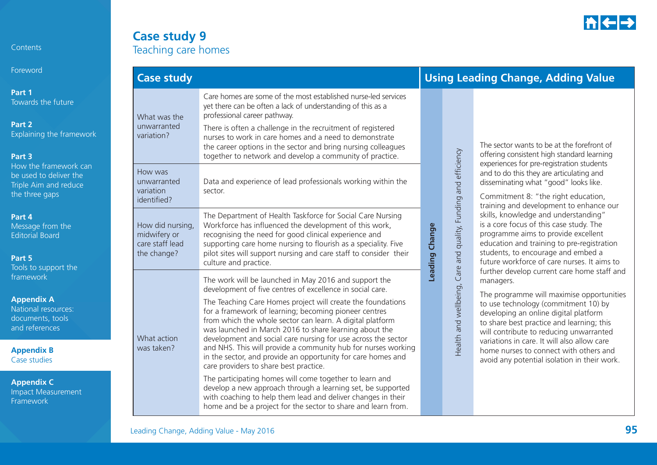

Foreword

**Part 1**  Towards the future

**Part 2**  Explaining the framework

#### **Part 3**

How the framework can be used to deliver the Triple Aim and reduce the three gaps

#### **Part 4**

 Message from the Editorial Board

#### **Part 5**

Tools to support the framework

#### **Appendix A**

National resources: documents, tools and references

**Appendix B**  Case studies

| <b>Case study 9</b> |
|---------------------|
| Teaching care homes |

| <b>Case study</b>                                                  |                                                                                                                                                                                                                                                                                                                                                                                                                                                                                                                                                                                                                                                                                                                                                                                                                                                                          |                |                                                                | <b>Using Leading Change, Adding Value</b>                                                                                                                                                                                                                                                                                                                                                                                                                                                                                                                                                                                                                                                                                                                                                                                                                                                                |
|--------------------------------------------------------------------|--------------------------------------------------------------------------------------------------------------------------------------------------------------------------------------------------------------------------------------------------------------------------------------------------------------------------------------------------------------------------------------------------------------------------------------------------------------------------------------------------------------------------------------------------------------------------------------------------------------------------------------------------------------------------------------------------------------------------------------------------------------------------------------------------------------------------------------------------------------------------|----------------|----------------------------------------------------------------|----------------------------------------------------------------------------------------------------------------------------------------------------------------------------------------------------------------------------------------------------------------------------------------------------------------------------------------------------------------------------------------------------------------------------------------------------------------------------------------------------------------------------------------------------------------------------------------------------------------------------------------------------------------------------------------------------------------------------------------------------------------------------------------------------------------------------------------------------------------------------------------------------------|
| What was the<br>unwarranted<br>variation?                          | Care homes are some of the most established nurse-led services<br>yet there can be often a lack of understanding of this as a<br>professional career pathway.<br>There is often a challenge in the recruitment of registered<br>nurses to work in care homes and a need to demonstrate<br>the career options in the sector and bring nursing colleagues<br>together to network and develop a community of practice.                                                                                                                                                                                                                                                                                                                                                                                                                                                      |                |                                                                | The sector wants to be at the forefront of<br>offering consistent high standard learning                                                                                                                                                                                                                                                                                                                                                                                                                                                                                                                                                                                                                                                                                                                                                                                                                 |
| How was<br>unwarranted<br>variation<br>identified?                 | Data and experience of lead professionals working within the<br>sector.                                                                                                                                                                                                                                                                                                                                                                                                                                                                                                                                                                                                                                                                                                                                                                                                  |                | Health and wellbeing, Care and quality, Funding and efficiency | experiences for pre-registration students<br>and to do this they are articulating and<br>disseminating what "good" looks like.<br>Commitment 8: "the right education,<br>training and development to enhance our<br>skills, knowledge and understanding"<br>is a core focus of this case study. The<br>programme aims to provide excellent<br>education and training to pre-registration<br>students, to encourage and embed a<br>future workforce of care nurses. It aims to<br>further develop current care home staff and<br>managers.<br>The programme will maximise opportunities<br>to use technology (commitment 10) by<br>developing an online digital platform<br>to share best practice and learning; this<br>will contribute to reducing unwarranted<br>variations in care. It will also allow care<br>home nurses to connect with others and<br>avoid any potential isolation in their work. |
| How did nursing,<br>midwifery or<br>care staff lead<br>the change? | The Department of Health Taskforce for Social Care Nursing<br>Workforce has influenced the development of this work,<br>recognising the need for good clinical experience and<br>supporting care home nursing to flourish as a speciality. Five<br>pilot sites will support nursing and care staff to consider their<br>culture and practice.                                                                                                                                                                                                                                                                                                                                                                                                                                                                                                                            | Leading Change |                                                                |                                                                                                                                                                                                                                                                                                                                                                                                                                                                                                                                                                                                                                                                                                                                                                                                                                                                                                          |
| What action<br>was taken?                                          | The work will be launched in May 2016 and support the<br>development of five centres of excellence in social care.<br>The Teaching Care Homes project will create the foundations<br>for a framework of learning; becoming pioneer centres<br>from which the whole sector can learn. A digital platform<br>was launched in March 2016 to share learning about the<br>development and social care nursing for use across the sector<br>and NHS. This will provide a community hub for nurses working<br>in the sector, and provide an opportunity for care homes and<br>care providers to share best practice.<br>The participating homes will come together to learn and<br>develop a new approach through a learning set, be supported<br>with coaching to help them lead and deliver changes in their<br>home and be a project for the sector to share and learn from. |                |                                                                |                                                                                                                                                                                                                                                                                                                                                                                                                                                                                                                                                                                                                                                                                                                                                                                                                                                                                                          |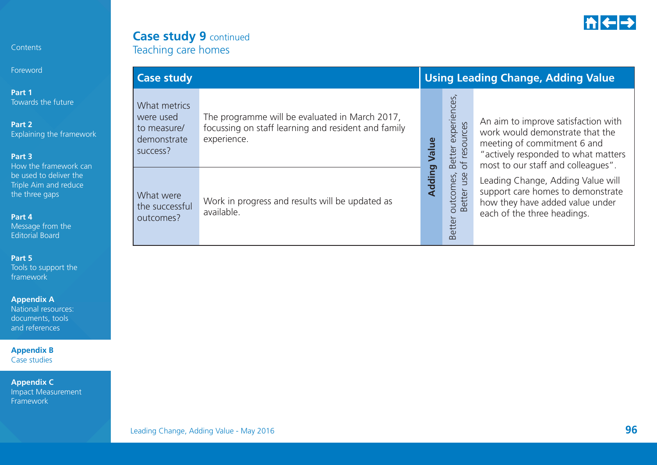

### **Case study 9 continued** Teaching care homes

| Foreword                                                                                                                                           | <b>Case study</b>                                                   |                                                                                                                      |        | <b>Using Leading Change, Adding Value</b>                         |                                                                                                                                                                                |  |  |
|----------------------------------------------------------------------------------------------------------------------------------------------------|---------------------------------------------------------------------|----------------------------------------------------------------------------------------------------------------------|--------|-------------------------------------------------------------------|--------------------------------------------------------------------------------------------------------------------------------------------------------------------------------|--|--|
| Part 1<br>Towards the future<br>Part 2<br>Explaining the framework<br>Part 3                                                                       | What metrics<br>were used<br>to measure/<br>demonstrate<br>success? | The programme will be evaluated in March 2017,<br>focussing on staff learning and resident and family<br>experience. | Value  | හි<br>Better experience<br>of resources                           | An aim to improve satisfaction with<br>work would demonstrate that the<br>meeting of commitment 6 and<br>"actively responded to what matters                                   |  |  |
| How the framework can<br>be used to deliver the<br>Triple Aim and reduce<br>the three gaps<br>Part 4<br>Message from the<br><b>Editorial Board</b> | What were<br>the successful<br>outcomes?                            | Work in progress and results will be updated as<br>available.                                                        | Adding | butcomes,<br>Better use<br>Better<br>$\circ$<br>etter<br>$\infty$ | most to our staff and colleagues".<br>Leading Change, Adding Value will<br>support care homes to demonstrate<br>how they have added value under<br>each of the three headings. |  |  |

#### **Part 5**

Contents

Tools to support the framework

#### **Appendix A**

National resources: documents, tools and references

**Appendix B**  Case studies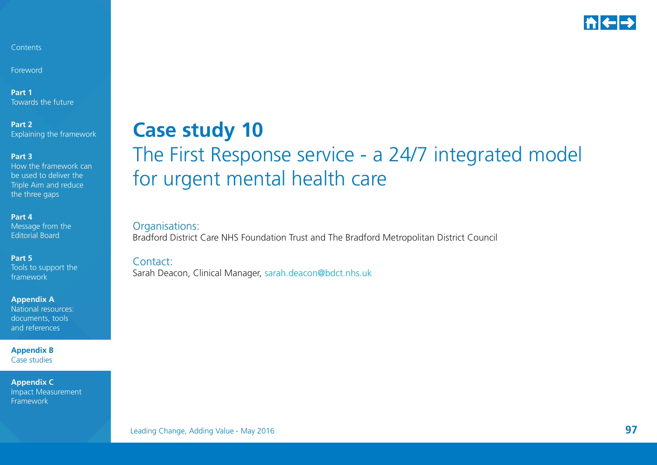

Foreword

**Part 1** Towards the future

**Part 2**  Explaining the framework

**Part 3** 

How the framework can be used to deliver the Triple Aim and reduce the three gaps

**Part 4** 

Message from the Editorial Board

**Part 5** 

Tools to support the framework

**Appendix A** 

National resources: documents, tools and references

**Appendix B**  Case studies

**Appendix C**  Impact Measurement Framework

## **Case study 10** The First Response service - a 24/7 integrated model for urgent mental health care

Organisations: Bradford District Care NHS Foundation Trust and The Bradford Metropolitan District Council

Contact:Sarah Deacon, Clinical Manager, [sarah.deacon@bdct.nhs.uk](mailto:sarah.deacon%40bdct.nhs.uk?subject=)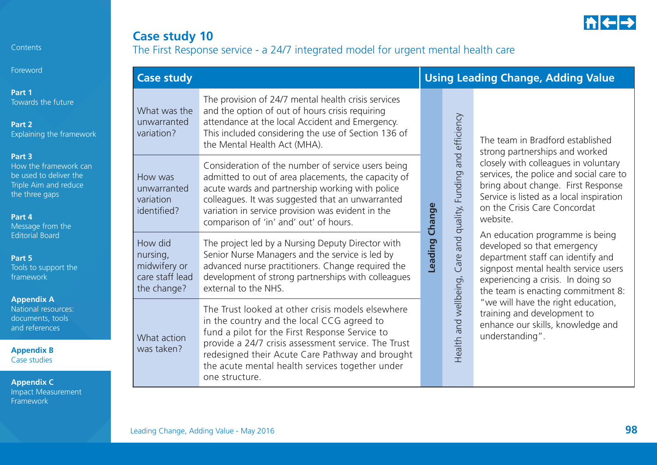

## **Case study 10** The First Response service - a 24/7 integrated model for urgent mental health care

| Foreword                                                                                                                           | <b>Case study</b>                                                     |                                                                                                                                                                                                                                                                                                                 |         | <b>Using Leading Change, Adding Value</b> |                                                                                                                                                                                                                         |  |
|------------------------------------------------------------------------------------------------------------------------------------|-----------------------------------------------------------------------|-----------------------------------------------------------------------------------------------------------------------------------------------------------------------------------------------------------------------------------------------------------------------------------------------------------------|---------|-------------------------------------------|-------------------------------------------------------------------------------------------------------------------------------------------------------------------------------------------------------------------------|--|
| Part 1<br>Towards the future<br>Part 2<br>Explaining the framework                                                                 | What was the<br>unwarranted<br>variation?                             | The provision of 24/7 mental health crisis services<br>and the option of out of hours crisis requiring<br>attendance at the local Accident and Emergency.<br>This included considering the use of Section 136 of<br>the Mental Health Act (MHA).                                                                |         | and efficiency                            | The team in Bradford established<br>strong partnerships and worked                                                                                                                                                      |  |
| Part 3<br>How the framework can<br>be used to deliver the<br>Triple Aim and reduce<br>the three gaps<br>Part 4<br>Message from the | How was<br>unwarranted<br>variation<br>identified?                    | Consideration of the number of service users being<br>admitted to out of area placements, the capacity of<br>acute wards and partnership working with police<br>colleagues. It was suggested that an unwarranted<br>variation in service provision was evident in the<br>comparison of 'in' and' out' of hours. | Change  | and quality, Funding                      | closely with colleagues in voluntary<br>services, the police and social care to<br>bring about change. First Response<br>Service is listed as a local inspiration<br>on the Crisis Care Concordat<br>website.           |  |
| <b>Editorial Board</b><br>Part 5<br>Tools to support the<br>framework                                                              | How did<br>nursing,<br>midwifery or<br>care staff lead<br>the change? | The project led by a Nursing Deputy Director with<br>Senior Nurse Managers and the service is led by<br>advanced nurse practitioners. Change required the<br>development of strong partnerships with colleagues<br>external to the NHS.                                                                         | Leading | Care                                      | An education programme is being<br>developed so that emergency<br>department staff can identify and<br>signpost mental health service users<br>experiencing a crisis. In doing so<br>the team is enacting commitment 8: |  |
| <b>Appendix A</b><br>National resources:<br>documents, tools<br>and references                                                     | What action                                                           | The Trust looked at other crisis models elsewhere<br>in the country and the local CCG agreed to<br>fund a pilot for the First Response Service to<br>provide a 24/7 crisis assessment service. The Trust                                                                                                        |         | Health and wellbeing,                     | "we will have the right education,<br>training and development to<br>enhance our skills, knowledge and<br>understanding".                                                                                               |  |
| <b>Appendix B</b><br>Case studies<br><b>Appendix C</b><br><b>Impact Measurement</b>                                                | was taken?                                                            | redesigned their Acute Care Pathway and brought<br>the acute mental health services together under<br>one structure.                                                                                                                                                                                            |         |                                           |                                                                                                                                                                                                                         |  |

Contents

Framework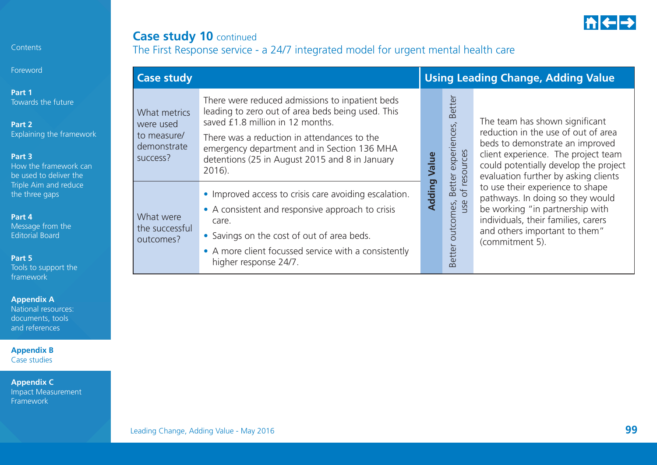

## **Case study 10 continued** The First Response service - a 24/7 integrated model for urgent mental health care

|                                                                     | <b>Case study</b>                                                                                                                                                                                                                                                                                  |        |                                                              | <b>Using Leading Change, Adding Value</b>                                                                                                                                                                                        |  |  |  |
|---------------------------------------------------------------------|----------------------------------------------------------------------------------------------------------------------------------------------------------------------------------------------------------------------------------------------------------------------------------------------------|--------|--------------------------------------------------------------|----------------------------------------------------------------------------------------------------------------------------------------------------------------------------------------------------------------------------------|--|--|--|
| What metrics<br>were used<br>to measure/<br>demonstrate<br>success? | There were reduced admissions to inpatient beds<br>leading to zero out of area beds being used. This<br>saved £1.8 million in 12 months.<br>There was a reduction in attendances to the<br>emergency department and in Section 136 MHA<br>detentions (25 in August 2015 and 8 in January<br>2016). | Value  | <b>Better</b><br>experiences,<br>resources                   | The team has shown significant<br>reduction in the use of out of area<br>beds to demonstrate an improved<br>client experience. The project team<br>could potentially develop the project<br>evaluation further by asking clients |  |  |  |
| What were<br>the successful<br>outcomes?                            | • Improved access to crisis care avoiding escalation.<br>• A consistent and responsive approach to crisis<br>care.<br>• Savings on the cost of out of area beds.<br>• A more client focussed service with a consistently<br>higher response 24/7.                                                  | Adding | Better<br>$\overline{\sigma}$<br>Better outcomes, l<br>use o | to use their experience to shape<br>pathways. In doing so they would<br>be working "in partnership with<br>individuals, their families, carers<br>and others important to them"<br>(commitment 5).                               |  |  |  |

**Contents** 

Foreword

**Part 1** 

Towards the future

**Part 2**  Explaining the framew

#### **Part 3**

How the framework can be used to deliver the Triple Aim and reduce the three gaps

**Part 4** 

Message from the Editorial Board

**Part 5** 

Tools to support the framework

**Appendix A** 

National resources: documents, tools and references

**Appendix B**  Case studies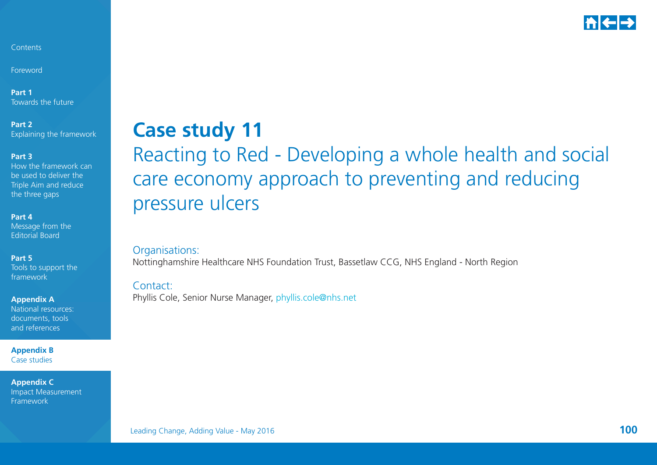

Foreword

**Part 1** Towards the future

**Part 2**  Explaining the framework

#### **Part 3**

How the framework can be used to deliver the Triple Aim and reduce the three gaps

#### **Part 4**

Message from the Editorial Board

#### **Part 5**

Tools to support the framework

#### **Appendix A**

National resources: documents, tools and references

**Appendix B**  Case studies

**Appendix C**  Impact Measurement Framework

## **Case study 11** Reacting to Red - Developing a whole health and social care economy approach to preventing and reducing pressure ulcers

### Organisations:

Nottinghamshire Healthcare NHS Foundation Trust, Bassetlaw CCG, NHS England - North Region

#### Contact:

Phyllis Cole, Senior Nurse Manager, [phyllis.cole@nhs.net](mailto:phyllis.cole%40nhs.net?subject=)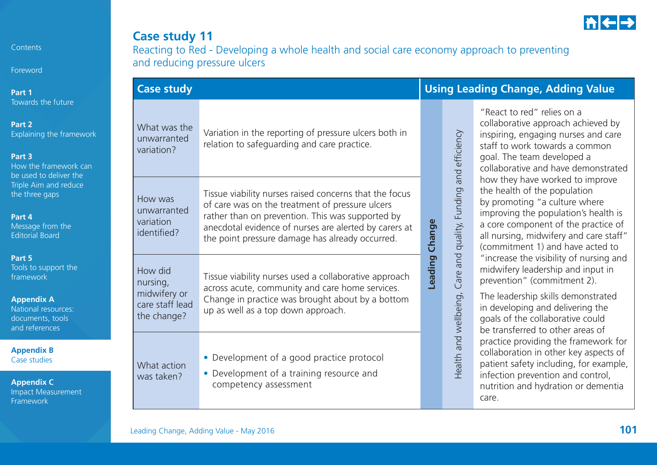

Foreword

**Part 1**  Towards the future

**Part 2** 

Explaining the framework

#### **Part 3**

How the framework can be used to deliver the Triple Aim and reduce the three gaps

#### **Part 4**

Message from the Editorial Board

#### **Part 5**

Tools to support the framework

#### **Appendix A**

National resources: documents, tools and references

**Appendix B**  Case studies

| <b>Case study 11</b>                                                                       |
|--------------------------------------------------------------------------------------------|
| Reacting to Red - Developing a whole health and social care economy approach to preventing |
| and reducing pressure ulcers                                                               |

| <b>Case study</b>                                      |                                                                                                                                                                                                                                                                           |         | <b>Using Leading Change, Adding Value</b> |                                                                                                                                                                                                                                                                                      |  |
|--------------------------------------------------------|---------------------------------------------------------------------------------------------------------------------------------------------------------------------------------------------------------------------------------------------------------------------------|---------|-------------------------------------------|--------------------------------------------------------------------------------------------------------------------------------------------------------------------------------------------------------------------------------------------------------------------------------------|--|
| What was the<br>unwarranted<br>variation?              | Variation in the reporting of pressure ulcers both in<br>relation to safeguarding and care practice.                                                                                                                                                                      |         | and efficiency                            | "React to red" relies on a<br>collaborative approach achieved by<br>inspiring, engaging nurses and care<br>staff to work towards a common<br>goal. The team developed a<br>collaborative and have demonstrated                                                                       |  |
| How was<br>unwarranted<br>variation<br>identified?     | Tissue viability nurses raised concerns that the focus<br>of care was on the treatment of pressure ulcers<br>rather than on prevention. This was supported by<br>anecdotal evidence of nurses are alerted by carers at<br>the point pressure damage has already occurred. | Change  | Funding<br>quality,                       | how they have worked to improve<br>the health of the population<br>by promoting "a culture where<br>improving the population's health is<br>a core component of the practice of<br>all nursing, midwifery and care staff"<br>(commitment 1) and have acted to                        |  |
| How did<br>nursing,<br>midwifery or<br>care staff lead | Tissue viability nurses used a collaborative approach<br>across acute, community and care home services.<br>Change in practice was brought about by a bottom<br>up as well as a top down approach.                                                                        | Leading | and<br>Care<br>Health and wellbeing,      | "increase the visibility of nursing and<br>midwifery leadership and input in<br>prevention" (commitment 2).<br>The leadership skills demonstrated<br>in developing and delivering the                                                                                                |  |
| the change?<br>What action<br>was taken?               | • Development of a good practice protocol<br>• Development of a training resource and<br>competency assessment                                                                                                                                                            |         |                                           | goals of the collaborative could<br>be transferred to other areas of<br>practice providing the framework for<br>collaboration in other key aspects of<br>patient safety including, for example,<br>infection prevention and control,<br>nutrition and hydration or dementia<br>care. |  |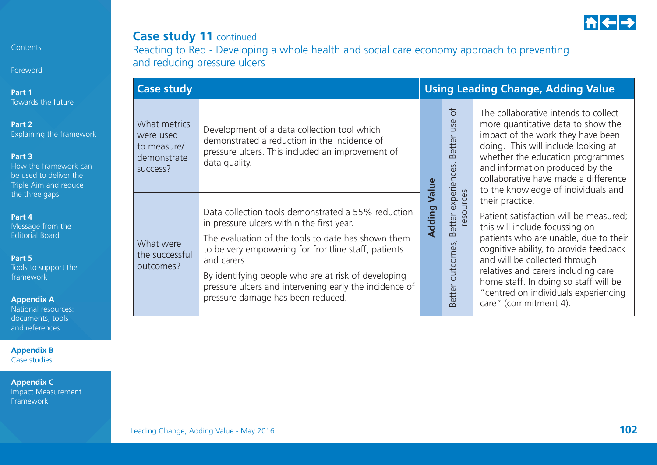

## **Case study 11 continued**

Reacting to Red - Developing a whole health and social care economy approach to preventing and reducing pressure ulcers

|                                             | <b>Case study</b>                                                   |                                                                                                                                                                                                                                                                                                                                                                                   |        |                                                 | <b>Using Leading Change, Adding Value</b>                                                                                                                                                                                                                                                                                                                        |  |  |  |
|---------------------------------------------|---------------------------------------------------------------------|-----------------------------------------------------------------------------------------------------------------------------------------------------------------------------------------------------------------------------------------------------------------------------------------------------------------------------------------------------------------------------------|--------|-------------------------------------------------|------------------------------------------------------------------------------------------------------------------------------------------------------------------------------------------------------------------------------------------------------------------------------------------------------------------------------------------------------------------|--|--|--|
| ire<br>amework<br>ork can<br>er the<br>duce | What metrics<br>were used<br>to measure/<br>demonstrate<br>success? | Development of a data collection tool which<br>demonstrated a reduction in the incidence of<br>pressure ulcers. This included an improvement of<br>data quality.                                                                                                                                                                                                                  | Value  | $\sigma$<br>use<br>Better<br>experiences,       | The collaborative intends to collect<br>more quantitative data to show the<br>impact of the work they have been<br>doing. This will include looking at<br>whether the education programmes<br>and information produced by the<br>collaborative have made a difference<br>to the knowledge of individuals and                                                     |  |  |  |
| ie<br>the<br>es:                            | What were<br>the successful<br>outcomes?                            | Data collection tools demonstrated a 55% reduction<br>in pressure ulcers within the first year.<br>The evaluation of the tools to date has shown them<br>to be very empowering for frontline staff, patients<br>and carers.<br>By identifying people who are at risk of developing<br>pressure ulcers and intervening early the incidence of<br>pressure damage has been reduced. | Adding | Better experie<br>resources<br>Better outcomes, | their practice.<br>Patient satisfaction will be measured;<br>this will include focussing on<br>patients who are unable, due to their<br>cognitive ability, to provide feedback<br>and will be collected through<br>relatives and carers including care<br>home staff. In doing so staff will be<br>"centred on individuals experiencing<br>care" (commitment 4). |  |  |  |

Contents Foreword

**Part 1** Towards the futu

**Part 2**  Explaining the fra

**Part 3** 

How the framew be used to delive Triple Aim and re the three gaps

**Part 4** 

Message from the Editorial Board

**Part 5** 

Tools to support framework

**Appendix A** 

National resource documents, tools and references

**Appendix B**  Case studies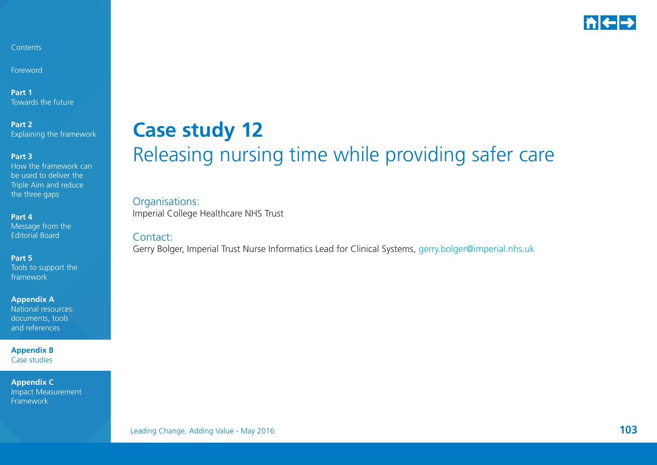

Foreword

**Part 1** Towards the future

**Part 2**  Explaining the framework

**Part 3** 

How the framework can be used to deliver the Triple Aim and reduce the three gaps

**Part 4** 

Message from the Editorial Board

**Part 5** 

Tools to support the framework

**Appendix A**  National resources: documents, tools

**Appendix B**  Case studies

and references

**Appendix C**  Impact Measurement Framework

## **Case study 12** Releasing nursing time while providing safer care

Organisations: Imperial College Healthcare NHS Trust

Contact:

Gerry Bolger, Imperial Trust Nurse Informatics Lead for Clinical Systems, g[erry.bolger@imperial.nhs.uk](mailto:Gerry.Bolger%40imperial.nhs.uk?subject=)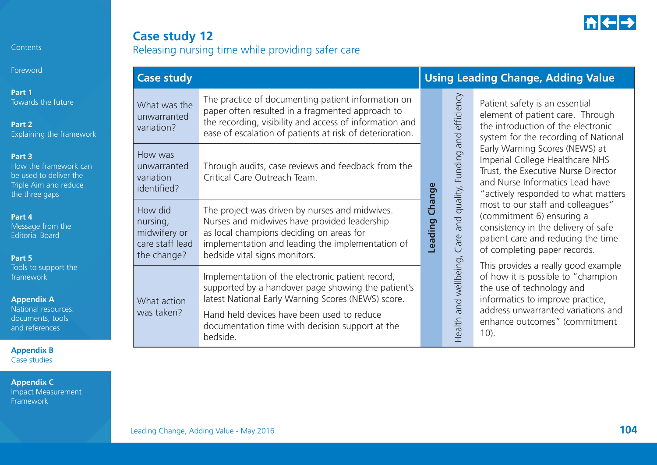

Foreword

**Part 1**  Towards the future

**Part 2**  Explaining the framework

#### **Part 3**

How the framework can be used to deliver the Triple Aim and reduce the three gaps

#### **Part 4**

Message from the Editorial Board

#### **Part 5**

Tools to support the framework

#### **Appendix A**

National resources: documents, tools and references

**Appendix B**  Case studies

**Appendix C**  Impact Measurement Framework

## **Case study 12**

Releasing nursing time while providing safer care

|  | <b>Case study</b>                                                     |                                                                                                                                                                                                                                                               |         | <b>Using Leading Change, Adding Value</b> |                                                                                                                                                                                                                              |  |  |
|--|-----------------------------------------------------------------------|---------------------------------------------------------------------------------------------------------------------------------------------------------------------------------------------------------------------------------------------------------------|---------|-------------------------------------------|------------------------------------------------------------------------------------------------------------------------------------------------------------------------------------------------------------------------------|--|--|
|  | What was the<br>unwarranted<br>variation?                             | The practice of documenting patient information on<br>paper often resulted in a fragmented approach to<br>the recording, visibility and access of information and<br>ease of escalation of patients at risk of deterioration.                                 |         |                                           | Patient safety is an essential<br>element of patient care. Through<br>the introduction of the electronic<br>system for the recording of National                                                                             |  |  |
|  | How was<br>unwarranted<br>variation<br>identified?                    | Through audits, case reviews and feedback from the<br>Critical Care Outreach Team.                                                                                                                                                                            |         | and quality, Funding and efficiency       | Early Warning Scores (NEWS) at<br>Imperial College Healthcare NHS<br>Trust, the Executive Nurse Director<br>and Nurse Informatics Lead have<br>"actively responded to what matters                                           |  |  |
|  | How did<br>nursing,<br>midwifery or<br>care staff lead<br>the change? | The project was driven by nurses and midwives.<br>Nurses and midwives have provided leadership<br>as local champions deciding on areas for<br>implementation and leading the implementation of<br>bedside vital signs monitors.                               | Leading | Change<br>Care                            | most to our staff and colleagues"<br>(commitment 6) ensuring a<br>consistency in the delivery of safe<br>patient care and reducing the time<br>of completing paper records.                                                  |  |  |
|  | What action<br>was taken?                                             | Implementation of the electronic patient record,<br>supported by a handover page showing the patient's<br>latest National Early Warning Scores (NEWS) score.<br>Hand held devices have been used to reduce<br>documentation time with decision support at the |         | and wellbeing,<br>Health                  | This provides a really good example<br>of how it is possible to "champion<br>the use of technology and<br>informatics to improve practice,<br>address unwarranted variations and<br>enhance outcomes" (commitment<br>$10$ ). |  |  |

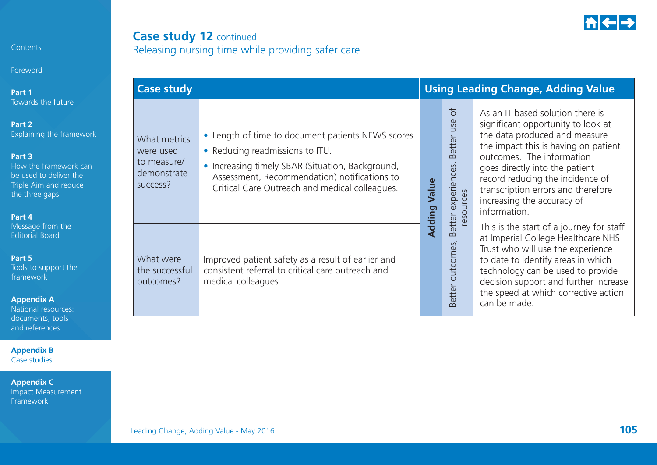

### **Case study 12** continued Releasing nursing time while providing safer care

| Part 1                                                                                                                                                                     | <b>Case study</b>                                                   |                                                                                                                                                                                                                                             | <b>Using Leading Change, Adding Value</b> |                                                                                      |                                                                                                                                                                                                                                                                                                                                        |  |
|----------------------------------------------------------------------------------------------------------------------------------------------------------------------------|---------------------------------------------------------------------|---------------------------------------------------------------------------------------------------------------------------------------------------------------------------------------------------------------------------------------------|-------------------------------------------|--------------------------------------------------------------------------------------|----------------------------------------------------------------------------------------------------------------------------------------------------------------------------------------------------------------------------------------------------------------------------------------------------------------------------------------|--|
| Towards the future<br>Part 2<br>Explaining the framework<br>Part 3<br>How the framework can<br>be used to deliver the<br>Triple Aim and reduce<br>the three gaps<br>Part 4 | What metrics<br>were used<br>to measure/<br>demonstrate<br>success? | • Length of time to document patients NEWS scores.<br>• Reducing readmissions to ITU.<br>• Increasing timely SBAR (Situation, Background,<br>Assessment, Recommendation) notifications to<br>Critical Care Outreach and medical colleagues. | Value<br><b>Adding</b>                    | $\sigma$<br>use<br>Better<br>experiences,<br>resources<br>Better<br>Better outcomes, | As an IT based solution there is<br>significant opportunity to look at<br>the data produced and measure<br>the impact this is having on patient<br>outcomes. The information<br>goes directly into the patient<br>record reducing the incidence of<br>transcription errors and therefore<br>increasing the accuracy of<br>information. |  |
| Message from the<br><b>Editorial Board</b><br>Part 5<br>Tools to support the<br>framework<br><b>Appendix A</b><br>National resources:<br>documents, tools                  | What were<br>the successful<br>outcomes?                            | Improved patient safety as a result of earlier and<br>consistent referral to critical care outreach and<br>medical colleagues.                                                                                                              |                                           |                                                                                      | This is the start of a journey for staff<br>at Imperial College Healthcare NHS<br>Trust who will use the experience<br>to date to identify areas in which<br>technology can be used to provide<br>decision support and further increase<br>the speed at which corrective action<br>can be made.                                        |  |

**Appendix B**  Case studies

and references

Contents

Foreword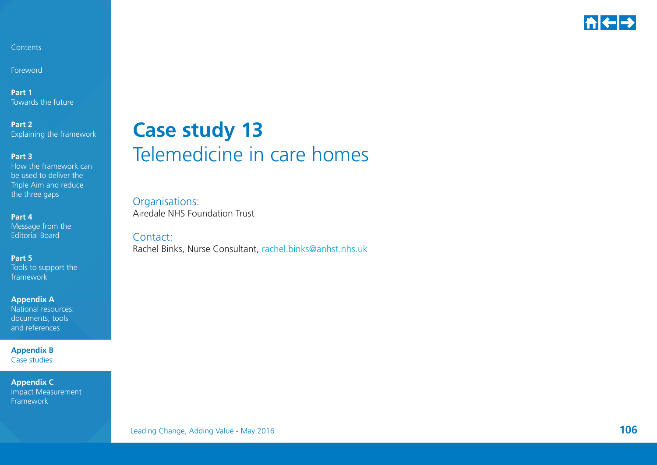

Foreword

**Part 1** Towards the future

**Part 2**  Explaining the framework

**Part 3** 

How the framework can be used to deliver the Triple Aim and reduce the three gaps

**Part 4** Message from the Editorial Board

**Part 5**  Tools to support the framework

**Appendix A**  National resources: documents, tools and references

**Appendix B**  Case studies

**Appendix C**  Impact Measurement Framework

## **Case study 13** Telemedicine in care homes

Organisations: Airedale NHS Foundation Trust

Contact:Rachel Binks, Nurse Consultant, [rachel.binks@anhst.nhs.uk](mailto:rachel.binks%40anhst.nhs.uk?subject=)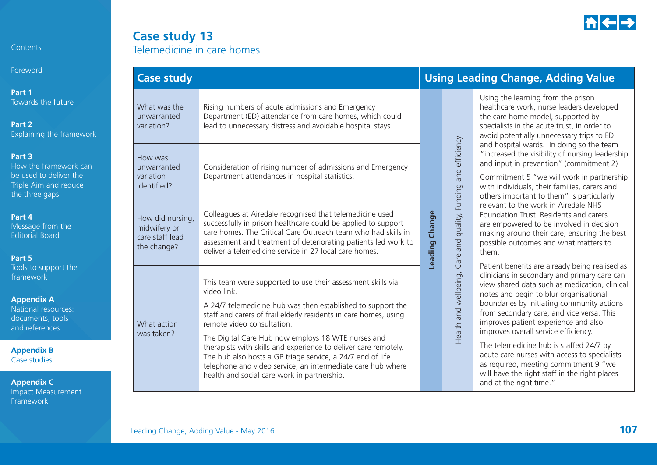

Foreword

**Part 1** Towards the future

**Part 2** Explaining the framework

#### **Part 3**

How the framework can be used to deliver the Triple Aim and reduce the three gaps

#### **Part 4**

Message from the Editorial Board

#### **Part 5**

Tools to support the framework

#### **Appendix A**

National resources: documents, tools and references

**Appendix B**  Case studies

**Appendix C**  Impact Measurement Framework

### **Case study 13** Telemedicine in care homes

| <b>Case study</b>                                                                                                                                                                                                                                                                                                                                                                            |                                                                                                                                                                                                                                                                                                                                                                                                                                                                                                                                                  |                | <b>Using Lead</b>                                              |
|----------------------------------------------------------------------------------------------------------------------------------------------------------------------------------------------------------------------------------------------------------------------------------------------------------------------------------------------------------------------------------------------|--------------------------------------------------------------------------------------------------------------------------------------------------------------------------------------------------------------------------------------------------------------------------------------------------------------------------------------------------------------------------------------------------------------------------------------------------------------------------------------------------------------------------------------------------|----------------|----------------------------------------------------------------|
| What was the<br>unwarranted<br>variation?                                                                                                                                                                                                                                                                                                                                                    | Rising numbers of acute admissions and Emergency<br>Department (ED) attendance from care homes, which could<br>lead to unnecessary distress and avoidable hospital stays.                                                                                                                                                                                                                                                                                                                                                                        |                |                                                                |
| How was<br>unwarranted<br>variation<br>identified?                                                                                                                                                                                                                                                                                                                                           | Consideration of rising number of admissions and Emergency<br>Department attendances in hospital statistics.                                                                                                                                                                                                                                                                                                                                                                                                                                     |                |                                                                |
| Colleagues at Airedale recognised that telemedicine used<br>How did nursing,<br>successfully in prison healthcare could be applied to support<br>midwifery or<br>care homes. The Critical Care Outreach team who had skills in<br>care staff lead<br>assessment and treatment of deteriorating patients led work to<br>the change?<br>deliver a telemedicine service in 27 local care homes. |                                                                                                                                                                                                                                                                                                                                                                                                                                                                                                                                                  | Leading Change |                                                                |
| What action<br>was taken?                                                                                                                                                                                                                                                                                                                                                                    | This team were supported to use their assessment skills via<br>video link.<br>A 24/7 telemedicine hub was then established to support the<br>staff and carers of frail elderly residents in care homes, using<br>remote video consultation.<br>The Digital Care Hub now employs 18 WTE nurses and<br>therapists with skills and experience to deliver care remotely.<br>The hub also hosts a GP triage service, a 24/7 end of life<br>telephone and video service, an intermediate care hub where<br>health and social care work in partnership. |                | Health and wellbeing, Care and quality, Funding and efficiency |

### **Case study Using Leading Change, Adding Value**

Using the learning from the prison healthcare work, nurse leaders developed the care home model, supported by specialists in the acute trust, in order to avoid potentially unnecessary trips to ED and hospital wards. In doing so the team "increased the visibility of nursing leadership and input in prevention" (commitment 2)

Commitment 5 "we will work in partnership with individuals, their families, carers and others important to them" is particularly relevant to the work in Airedale NHS Foundation Trust. Residents and carers are empowered to be involved in decision making around their care, ensuring the best possible outcomes and what matters to them.

Patient benefits are already being realised as clinicians in secondary and primary care can view shared data such as medication, clinical notes and begin to blur organisational boundaries by initiating community actions from secondary care, and vice versa. This improves patient experience and also improves overall service efficiency.

The telemedicine hub is staffed 24/7 by acute care nurses with access to specialists as required, meeting commitment 9 "we will have the right staff in the right places and at the right time."

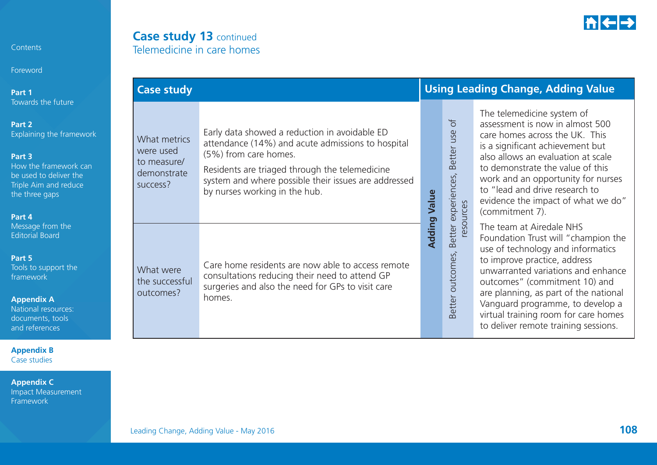

### **Case study 13** continued Telemedicine in care homes

| Part 1                                                                                                                                                                                | <b>Case study</b>                                                   |                                                                                                                                                                                                                                                                        |              | <b>Using Leading Change, Adding Value</b>                  |                                                                                                                                                                                                                                                                                                                                                                          |  |  |
|---------------------------------------------------------------------------------------------------------------------------------------------------------------------------------------|---------------------------------------------------------------------|------------------------------------------------------------------------------------------------------------------------------------------------------------------------------------------------------------------------------------------------------------------------|--------------|------------------------------------------------------------|--------------------------------------------------------------------------------------------------------------------------------------------------------------------------------------------------------------------------------------------------------------------------------------------------------------------------------------------------------------------------|--|--|
| Towards the future<br>Part 2<br>Explaining the framework<br>Part <sub>3</sub><br>How the framework can<br>be used to deliver the<br>Triple Aim and reduce<br>the three gaps<br>Part 4 | What metrics<br>were used<br>to measure/<br>demonstrate<br>success? | Early data showed a reduction in avoidable ED<br>attendance (14%) and acute admissions to hospital<br>(5%) from care homes.<br>Residents are triaged through the telemedicine<br>system and where possible their issues are addressed<br>by nurses working in the hub. | <b>Value</b> | $\sigma$<br>Better use<br>Better experiences,<br>resources | The telemedicine system of<br>assessment is now in almost 500<br>care homes across the UK. This<br>is a significant achievement but<br>also allows an evaluation at scale<br>to demonstrate the value of this<br>work and an opportunity for nurses<br>to "lead and drive research to<br>evidence the impact of what we do"<br>(commitment 7).                           |  |  |
| Message from the<br><b>Editorial Board</b><br>Part 5<br>Tools to support the<br>framework<br><b>Appendix A</b><br>National resources:<br>documents, tools<br>and references           | What were<br>the successful<br>outcomes?                            | Care home residents are now able to access remote<br>consultations reducing their need to attend GP<br>surgeries and also the need for GPs to visit care<br>homes.                                                                                                     | Adding       | Better outcomes,                                           | The team at Airedale NHS<br>Foundation Trust will "champion the<br>use of technology and informatics<br>to improve practice, address<br>unwarranted variations and enhance<br>outcomes" (commitment 10) and<br>are planning, as part of the national<br>Vanguard programme, to develop a<br>virtual training room for care homes<br>to deliver remote training sessions. |  |  |

**Appendix B**  Case studies

Contents

Foreword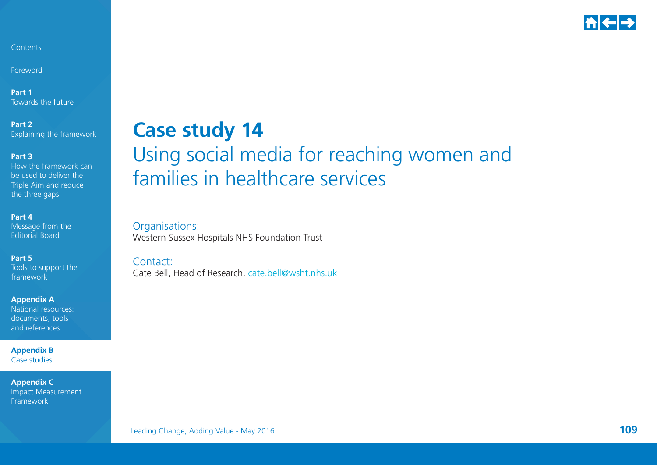

Foreword

**Part 1** Towards the future

**Part 2**  Explaining the framework

**Part 3** 

How the framework can be used to deliver the Triple Aim and reduce the three gaps

**Part 4** 

Message from the Editorial Board

**Part 5** 

Tools to support the framework

**Appendix A** 

National resources: documents, tools and references

**Appendix B**  Case studies

**Appendix C**  Impact Measurement Framework

## **Case study 14** Using social media for reaching women and families in healthcare services

Organisations: Western Sussex Hospitals NHS Foundation Trust

Contact:Cate Bell, Head of Research, [cate.bell@wsht.nhs.uk](mailto:cate.bell%40wsht.nhs.uk?subject=)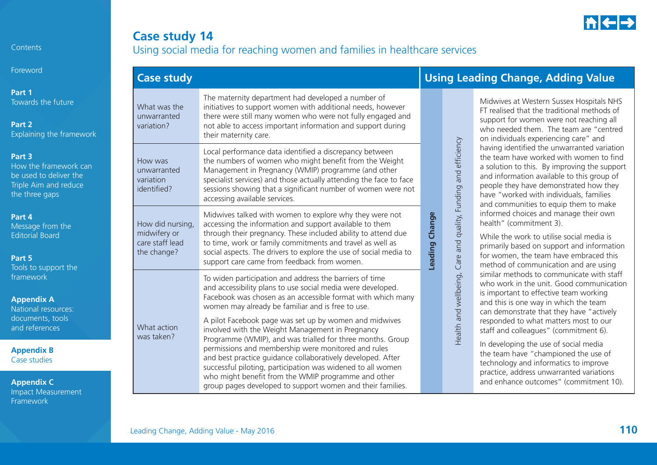

## **Case study 14** Using social media for reaching women and families in healthcare services

| Foreword                                                                                             | <b>Case study</b>                                                  |                                                                                                                                                                                                                                                                                                                                                                                                                        |                | <b>Using Leading Change, Adding Value</b>                                                                                                                                                                                                                                                                          |                                                                                                                                                                                                                                                                                                                                                                                                                                                                                                                                                                                                                                                                                                                                                                          |  |
|------------------------------------------------------------------------------------------------------|--------------------------------------------------------------------|------------------------------------------------------------------------------------------------------------------------------------------------------------------------------------------------------------------------------------------------------------------------------------------------------------------------------------------------------------------------------------------------------------------------|----------------|--------------------------------------------------------------------------------------------------------------------------------------------------------------------------------------------------------------------------------------------------------------------------------------------------------------------|--------------------------------------------------------------------------------------------------------------------------------------------------------------------------------------------------------------------------------------------------------------------------------------------------------------------------------------------------------------------------------------------------------------------------------------------------------------------------------------------------------------------------------------------------------------------------------------------------------------------------------------------------------------------------------------------------------------------------------------------------------------------------|--|
| Part 1<br>Towards the future<br>Part 2<br>Explaining the framework                                   | What was the<br>unwarranted<br>variation?                          | The maternity department had developed a number of<br>initiatives to support women with additional needs, however<br>there were still many women who were not fully engaged and<br>not able to access important information and support during<br>their maternity care.                                                                                                                                                | and efficiency |                                                                                                                                                                                                                                                                                                                    | Midwives at Western Sussex Hospitals NHS<br>FT realised that the traditional methods of<br>support for women were not reaching all<br>who needed them. The team are "centred<br>on individuals experiencing care" and                                                                                                                                                                                                                                                                                                                                                                                                                                                                                                                                                    |  |
| Part 3<br>How the framework can<br>be used to deliver the<br>Triple Aim and reduce<br>the three gaps | How was<br>unwarranted<br>variation<br>identified?                 | Local performance data identified a discrepancy between<br>the numbers of women who might benefit from the Weight<br>Management in Pregnancy (WMIP) programme (and other<br>specialist services) and those actually attending the face to face<br>sessions showing that a significant number of women were not<br>accessing available services.                                                                        |                | having identified the unwarranted variation<br>the team have worked with women to find<br>a solution to this. By improving the support<br>and information available to this group of<br>people they have demonstrated how they<br>have "worked with individuals, families<br>and communities to equip them to make |                                                                                                                                                                                                                                                                                                                                                                                                                                                                                                                                                                                                                                                                                                                                                                          |  |
| Part 4<br>Message from the<br><b>Editorial Board</b><br>Part 5<br>Tools to support the               | How did nursing,<br>midwifery or<br>care staff lead<br>the change? | Midwives talked with women to explore why they were not<br>accessing the information and support available to them<br>through their pregnancy. These included ability to attend due<br>to time, work or family commitments and travel as well as<br>social aspects. The drivers to explore the use of social media to<br>support care came from feedback from women.                                                   | Leading Change | Care and quality, Funding                                                                                                                                                                                                                                                                                          | informed choices and manage their own<br>health" (commitment 3).<br>While the work to utilise social media is<br>primarily based on support and information<br>for women, the team have embraced this<br>method of communication and are using<br>similar methods to communicate with staff<br>who work in the unit. Good communication<br>is important to effective team working<br>and this is one way in which the team<br>can demonstrate that they have "actively<br>responded to what matters most to our<br>staff and colleagues" (commitment 6).<br>In developing the use of social media<br>the team have "championed the use of<br>technology and informatics to improve<br>practice, address unwarranted variations<br>and enhance outcomes" (commitment 10). |  |
| framework<br><b>Appendix A</b><br>National resources:<br>documents, tools<br>and references          | What action<br>was taken?                                          | To widen participation and address the barriers of time<br>and accessibility plans to use social media were developed.<br>Facebook was chosen as an accessible format with which many<br>women may already be familiar and is free to use.<br>A pilot Facebook page was set up by women and midwives<br>involved with the Weight Management in Pregnancy<br>Programme (WMIP), and was trialled for three months. Group |                | Health and wellbeing,                                                                                                                                                                                                                                                                                              |                                                                                                                                                                                                                                                                                                                                                                                                                                                                                                                                                                                                                                                                                                                                                                          |  |
| <b>Appendix B</b><br>Case studies<br><b>Appendix C</b><br><b>Impact Measurement</b>                  |                                                                    | permissions and membership were monitored and rules<br>and best practice quidance collaboratively developed. After<br>successful piloting, participation was widened to all women<br>who might benefit from the WMIP programme and other<br>group pages developed to support women and their families.                                                                                                                 |                |                                                                                                                                                                                                                                                                                                                    |                                                                                                                                                                                                                                                                                                                                                                                                                                                                                                                                                                                                                                                                                                                                                                          |  |

Contents

Foreword

Framework